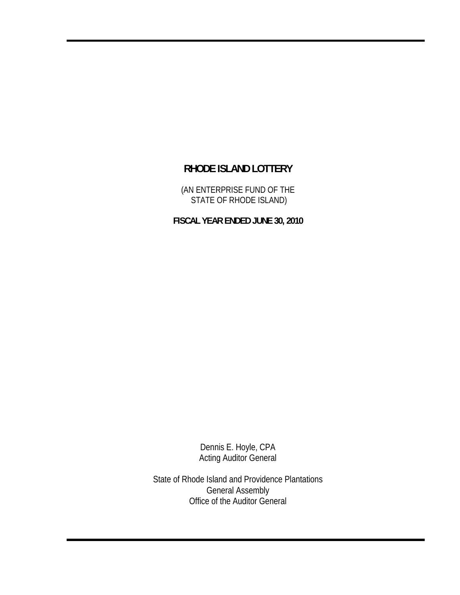(AN ENTERPRISE FUND OF THE STATE OF RHODE ISLAND)

**FISCAL YEAR ENDED JUNE 30, 2010** 

Dennis E. Hoyle, CPA Acting Auditor General

State of Rhode Island and Providence Plantations General Assembly Office of the Auditor General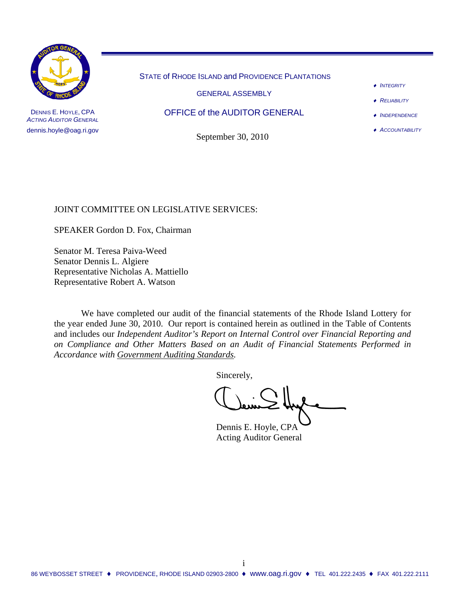

DENNIS E. HOYLE, CPA *ACTING AUDITOR GENERAL* dennis.hoyle@oag.ri.gov STATE of RHODE ISLAND and PROVIDENCE PLANTATIONS

GENERAL ASSEMBLY

OFFICE of the AUDITOR GENERAL

September 30, 2010

- ♦ *INTEGRITY*
- ♦ *RELIABILITY*
- ♦ *INDEPENDENCE*
- ♦ *ACCOUNTABILITY*

### JOINT COMMITTEE ON LEGISLATIVE SERVICES:

SPEAKER Gordon D. Fox, Chairman

Senator M. Teresa Paiva-Weed Senator Dennis L. Algiere Representative Nicholas A. Mattiello Representative Robert A. Watson

 We have completed our audit of the financial statements of the Rhode Island Lottery for the year ended June 30, 2010. Our report is contained herein as outlined in the Table of Contents and includes our *Independent Auditor's Report on Internal Control over Financial Reporting and on Compliance and Other Matters Based on an Audit of Financial Statements Performed in Accordance with Government Auditing Standards.* 

Sincerely,

 Dennis E. Hoyle, CPA Acting Auditor General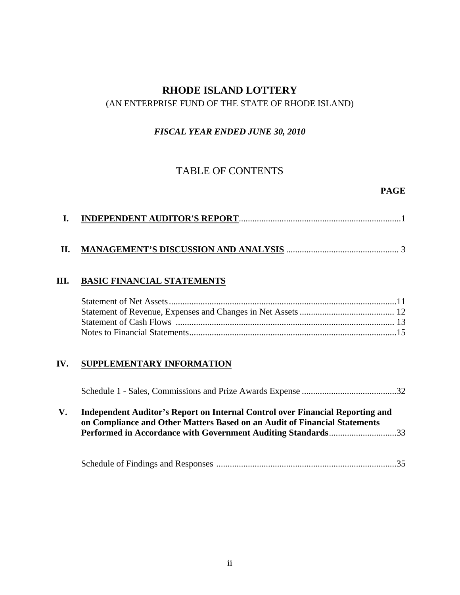### (AN ENTERPRISE FUND OF THE STATE OF RHODE ISLAND)

### *FISCAL YEAR ENDED JUNE 30, 2010*

## TABLE OF CONTENTS

### **PAGE**

|--|

## **II. MANAGEMENT'S DISCUSSION AND ANALYSIS** .................................................. 3

### **III. BASIC FINANCIAL STATEMENTS**

### **IV. SUPPLEMENTARY INFORMATION**

|--|--|

### **V. Independent Auditor's Report on Internal Control over Financial Reporting and on Compliance and Other Matters Based on an Audit of Financial Statements Performed in Accordance with Government Auditing Standards**..............................33

|--|--|--|--|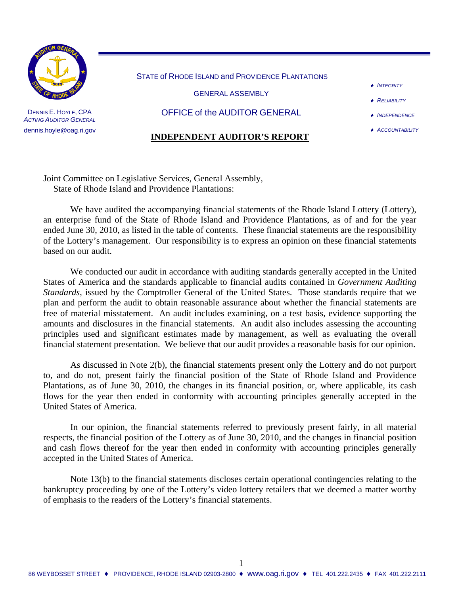

DENNIS E. HOYLE, CPA **ACTING AUDITOR GENERAL** dennis.hoyle@oag.ri.gov STATE of RHODE ISLAND and PROVIDENCE PLANTATIONS

GENERAL ASSEMBLY

OFFICE of the AUDITOR GENERAL

#### **INDEPENDENT AUDITOR'S REPORT**

- ♦ *INTEGRITY*
- ♦ *RELIABILITY*
- ♦ *INDEPENDENCE*
- ♦ *ACCOUNTABILITY*

Joint Committee on Legislative Services, General Assembly, State of Rhode Island and Providence Plantations:

We have audited the accompanying financial statements of the Rhode Island Lottery (Lottery), an enterprise fund of the State of Rhode Island and Providence Plantations, as of and for the year ended June 30, 2010, as listed in the table of contents. These financial statements are the responsibility of the Lottery's management. Our responsibility is to express an opinion on these financial statements based on our audit.

We conducted our audit in accordance with auditing standards generally accepted in the United States of America and the standards applicable to financial audits contained in *Government Auditing Standards*, issued by the Comptroller General of the United States. Those standards require that we plan and perform the audit to obtain reasonable assurance about whether the financial statements are free of material misstatement. An audit includes examining, on a test basis, evidence supporting the amounts and disclosures in the financial statements. An audit also includes assessing the accounting principles used and significant estimates made by management, as well as evaluating the overall financial statement presentation. We believe that our audit provides a reasonable basis for our opinion.

As discussed in Note 2(b), the financial statements present only the Lottery and do not purport to, and do not, present fairly the financial position of the State of Rhode Island and Providence Plantations, as of June 30, 2010, the changes in its financial position, or, where applicable, its cash flows for the year then ended in conformity with accounting principles generally accepted in the United States of America.

In our opinion, the financial statements referred to previously present fairly, in all material respects, the financial position of the Lottery as of June 30, 2010, and the changes in financial position and cash flows thereof for the year then ended in conformity with accounting principles generally accepted in the United States of America.

Note 13(b) to the financial statements discloses certain operational contingencies relating to the bankruptcy proceeding by one of the Lottery's video lottery retailers that we deemed a matter worthy of emphasis to the readers of the Lottery's financial statements.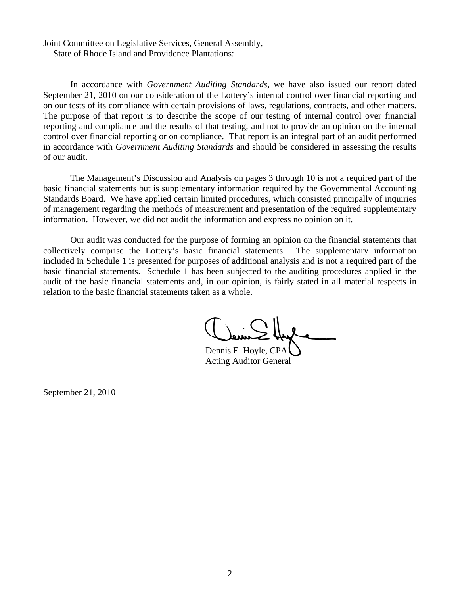Joint Committee on Legislative Services, General Assembly, State of Rhode Island and Providence Plantations:

In accordance with *Government Auditing Standards*, we have also issued our report dated September 21, 2010 on our consideration of the Lottery's internal control over financial reporting and on our tests of its compliance with certain provisions of laws, regulations, contracts, and other matters. The purpose of that report is to describe the scope of our testing of internal control over financial reporting and compliance and the results of that testing, and not to provide an opinion on the internal control over financial reporting or on compliance. That report is an integral part of an audit performed in accordance with *Government Auditing Standards* and should be considered in assessing the results of our audit.

The Management's Discussion and Analysis on pages 3 through 10 is not a required part of the basic financial statements but is supplementary information required by the Governmental Accounting Standards Board. We have applied certain limited procedures, which consisted principally of inquiries of management regarding the methods of measurement and presentation of the required supplementary information. However, we did not audit the information and express no opinion on it.

Our audit was conducted for the purpose of forming an opinion on the financial statements that collectively comprise the Lottery's basic financial statements. The supplementary information included in Schedule 1 is presented for purposes of additional analysis and is not a required part of the basic financial statements. Schedule 1 has been subjected to the auditing procedures applied in the audit of the basic financial statements and, in our opinion, is fairly stated in all material respects in relation to the basic financial statements taken as a whole.

Dennis E. Hoyle, CPA Acting Auditor General

September 21, 2010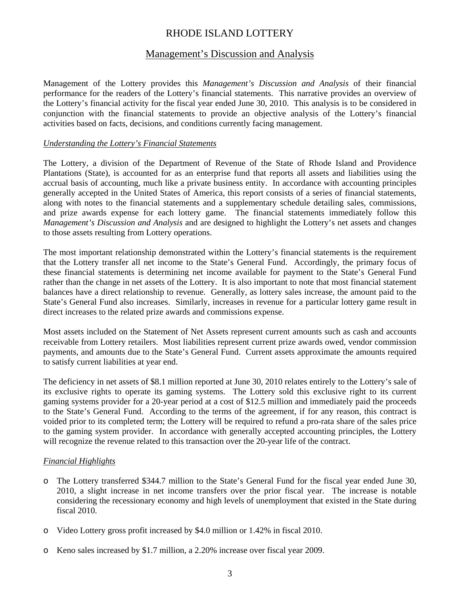### Management's Discussion and Analysis

Management of the Lottery provides this *Management's Discussion and Analysis* of their financial performance for the readers of the Lottery's financial statements. This narrative provides an overview of the Lottery's financial activity for the fiscal year ended June 30, 2010. This analysis is to be considered in conjunction with the financial statements to provide an objective analysis of the Lottery's financial activities based on facts, decisions, and conditions currently facing management.

#### *Understanding the Lottery's Financial Statements*

The Lottery, a division of the Department of Revenue of the State of Rhode Island and Providence Plantations (State), is accounted for as an enterprise fund that reports all assets and liabilities using the accrual basis of accounting, much like a private business entity. In accordance with accounting principles generally accepted in the United States of America, this report consists of a series of financial statements, along with notes to the financial statements and a supplementary schedule detailing sales, commissions, and prize awards expense for each lottery game. The financial statements immediately follow this *Management's Discussion and Analysis* and are designed to highlight the Lottery's net assets and changes to those assets resulting from Lottery operations.

The most important relationship demonstrated within the Lottery's financial statements is the requirement that the Lottery transfer all net income to the State's General Fund. Accordingly, the primary focus of these financial statements is determining net income available for payment to the State's General Fund rather than the change in net assets of the Lottery. It is also important to note that most financial statement balances have a direct relationship to revenue. Generally, as lottery sales increase, the amount paid to the State's General Fund also increases. Similarly, increases in revenue for a particular lottery game result in direct increases to the related prize awards and commissions expense.

Most assets included on the Statement of Net Assets represent current amounts such as cash and accounts receivable from Lottery retailers. Most liabilities represent current prize awards owed, vendor commission payments, and amounts due to the State's General Fund. Current assets approximate the amounts required to satisfy current liabilities at year end.

The deficiency in net assets of \$8.1 million reported at June 30, 2010 relates entirely to the Lottery's sale of its exclusive rights to operate its gaming systems. The Lottery sold this exclusive right to its current gaming systems provider for a 20-year period at a cost of \$12.5 million and immediately paid the proceeds to the State's General Fund. According to the terms of the agreement, if for any reason, this contract is voided prior to its completed term; the Lottery will be required to refund a pro-rata share of the sales price to the gaming system provider. In accordance with generally accepted accounting principles, the Lottery will recognize the revenue related to this transaction over the 20-year life of the contract.

#### *Financial Highlights*

- o The Lottery transferred \$344.7 million to the State's General Fund for the fiscal year ended June 30, 2010, a slight increase in net income transfers over the prior fiscal year. The increase is notable considering the recessionary economy and high levels of unemployment that existed in the State during fiscal 2010.
- o Video Lottery gross profit increased by \$4.0 million or 1.42% in fiscal 2010.
- o Keno sales increased by \$1.7 million, a 2.20% increase over fiscal year 2009.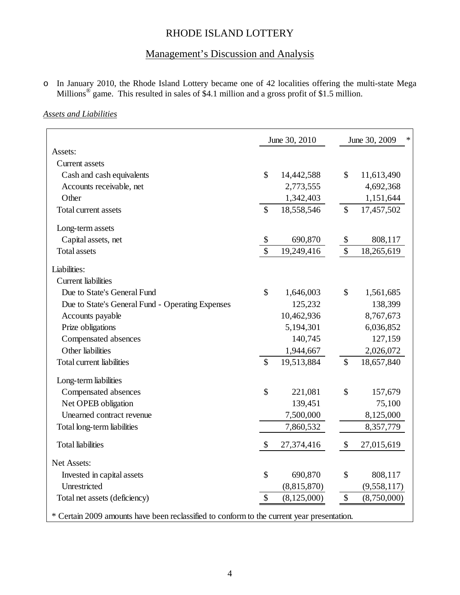## Management's Discussion and Analysis

o In January 2010, the Rhode Island Lottery became one of 42 localities offering the multi-state Mega Millions<sup>®</sup> game. This resulted in sales of \$4.1 million and a gross profit of \$1.5 million.

### *Assets and Liabilities*

|                                                                                            |               | June 30, 2010 |               | June 30, 2009<br>∗ |
|--------------------------------------------------------------------------------------------|---------------|---------------|---------------|--------------------|
| Assets:                                                                                    |               |               |               |                    |
| <b>Current</b> assets                                                                      |               |               |               |                    |
| Cash and cash equivalents                                                                  | $\mathcal{S}$ | 14,442,588    | $\mathbb{S}$  | 11,613,490         |
| Accounts receivable, net                                                                   |               | 2,773,555     |               | 4,692,368          |
| Other                                                                                      |               | 1,342,403     |               | 1,151,644          |
| Total current assets                                                                       | $\mathcal{S}$ | 18,558,546    | $\mathcal{S}$ | 17,457,502         |
| Long-term assets                                                                           |               |               |               |                    |
| Capital assets, net                                                                        | \$            | 690,870       | \$            | 808,117            |
| <b>Total assets</b>                                                                        | \$            | 19,249,416    | \$            | 18,265,619         |
| Liabilities:                                                                               |               |               |               |                    |
| <b>Current liabilities</b>                                                                 |               |               |               |                    |
| Due to State's General Fund                                                                | $\mathcal{S}$ | 1,646,003     | \$            | 1,561,685          |
| Due to State's General Fund - Operating Expenses                                           |               | 125,232       |               | 138,399            |
| Accounts payable                                                                           |               | 10,462,936    |               | 8,767,673          |
| Prize obligations                                                                          |               | 5,194,301     |               | 6,036,852          |
| Compensated absences                                                                       |               | 140,745       |               | 127,159            |
| Other liabilities                                                                          |               | 1,944,667     |               | 2,026,072          |
| Total current liabilities                                                                  | $\mathcal{S}$ | 19,513,884    | $\mathcal{S}$ | 18,657,840         |
| Long-term liabilities                                                                      |               |               |               |                    |
| Compensated absences                                                                       | $\mathcal{S}$ | 221,081       | \$            | 157,679            |
| Net OPEB obligation                                                                        |               | 139,451       |               | 75,100             |
| Unearned contract revenue                                                                  |               | 7,500,000     |               | 8,125,000          |
| Total long-term liabilities                                                                |               | 7,860,532     |               | 8,357,779          |
| <b>Total liabilities</b>                                                                   | \$            | 27,374,416    | \$            | 27,015,619         |
| Net Assets:                                                                                |               |               |               |                    |
| Invested in capital assets                                                                 | \$            | 690,870       | \$            | 808,117            |
| Unrestricted                                                                               |               | (8,815,870)   |               | (9,558,117)        |
| Total net assets (deficiency)                                                              | \$            | (8, 125, 000) | \$            | (8,750,000)        |
| * Certain 2009 amounts have been reclassified to conform to the current year presentation. |               |               |               |                    |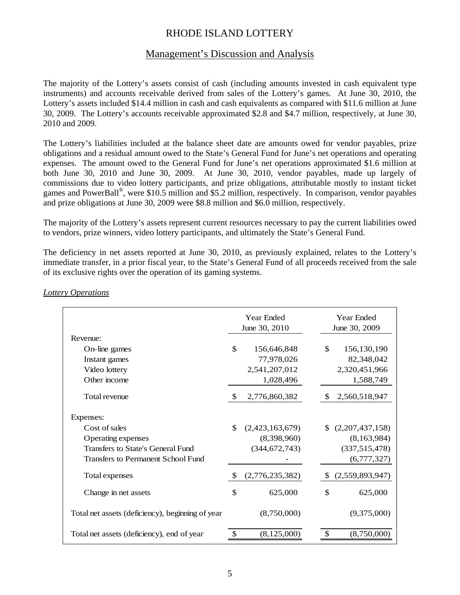### Management's Discussion and Analysis

The majority of the Lottery's assets consist of cash (including amounts invested in cash equivalent type instruments) and accounts receivable derived from sales of the Lottery's games. At June 30, 2010, the Lottery's assets included \$14.4 million in cash and cash equivalents as compared with \$11.6 million at June 30, 2009. The Lottery's accounts receivable approximated \$2.8 and \$4.7 million, respectively, at June 30, 2010 and 2009.

The Lottery's liabilities included at the balance sheet date are amounts owed for vendor payables, prize obligations and a residual amount owed to the State's General Fund for June's net operations and operating expenses. The amount owed to the General Fund for June's net operations approximated \$1.6 million at both June 30, 2010 and June 30, 2009. At June 30, 2010, vendor payables, made up largely of commissions due to video lottery participants, and prize obligations, attributable mostly to instant ticket games and PowerBall®, were \$10.5 million and \$5.2 million, respectively. In comparison, vendor payables and prize obligations at June 30, 2009 were \$8.8 million and \$6.0 million, respectively.

The majority of the Lottery's assets represent current resources necessary to pay the current liabilities owed to vendors, prize winners, video lottery participants, and ultimately the State's General Fund.

The deficiency in net assets reported at June 30, 2010, as previously explained, relates to the Lottery's immediate transfer, in a prior fiscal year, to the State's General Fund of all proceeds received from the sale of its exclusive rights over the operation of its gaming systems.

|                                                  | Year Ended<br>June 30, 2010   | Year Ended<br>June 30, 2009 |
|--------------------------------------------------|-------------------------------|-----------------------------|
| Revenue:                                         |                               |                             |
| On-line games                                    | \$<br>156,646,848             | $\mathbb{S}$<br>156,130,190 |
| Instant games                                    | 77,978,026                    | 82,348,042                  |
| Video lottery                                    | 2,541,207,012                 | 2,320,451,966               |
| Other income                                     | 1,028,496                     | 1,588,749                   |
| Total revenue                                    | $\mathbb{S}$<br>2,776,860,382 | 2,560,518,947<br>S          |
| Expenses:                                        |                               |                             |
| Cost of sales                                    | \$<br>(2,423,163,679)         | (2,207,437,158)             |
| Operating expenses                               | (8,398,960)                   | (8,163,984)                 |
| Transfers to State's General Fund                | (344, 672, 743)               | (337,515,478)               |
| <b>Transfers to Permanent School Fund</b>        |                               | (6,777,327)                 |
| Total expenses                                   | (2,776,235,382)<br>-S         | (2,559,893,947)<br>S.       |
| Change in net assets                             | \$<br>625,000                 | \$<br>625,000               |
| Total net assets (deficiency), beginning of year | (8,750,000)                   | (9,375,000)                 |
| Total net assets (deficiency), end of year       | (8, 125, 000)                 | \$<br>(8,750,000)           |

#### *Lottery Operations*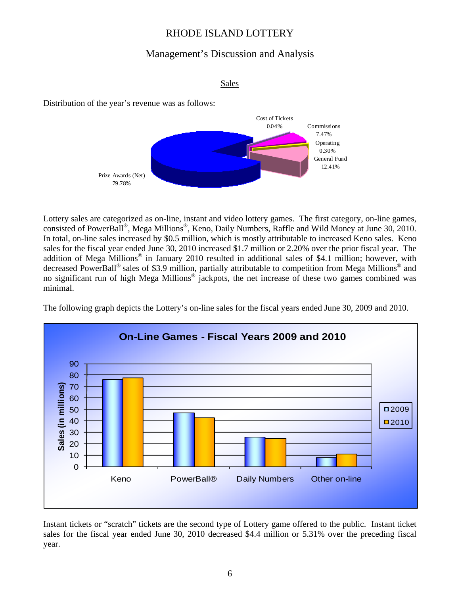## Management's Discussion and Analysis

```
Sales
```
Distribution of the year's revenue was as follows:



Lottery sales are categorized as on-line, instant and video lottery games. The first category, on-line games, consisted of PowerBall®, Mega Millions®, Keno, Daily Numbers, Raffle and Wild Money at June 30, 2010. In total, on-line sales increased by \$0.5 million, which is mostly attributable to increased Keno sales. Keno sales for the fiscal year ended June 30, 2010 increased \$1.7 million or 2.20% over the prior fiscal year. The addition of Mega Millions® in January 2010 resulted in additional sales of \$4.1 million; however, with decreased PowerBall® sales of \$3.9 million, partially attributable to competition from Mega Millions® and no significant run of high Mega Millions<sup>®</sup> jackpots, the net increase of these two games combined was minimal.

The following graph depicts the Lottery's on-line sales for the fiscal years ended June 30, 2009 and 2010.



Instant tickets or "scratch" tickets are the second type of Lottery game offered to the public. Instant ticket sales for the fiscal year ended June 30, 2010 decreased \$4.4 million or 5.31% over the preceding fiscal year.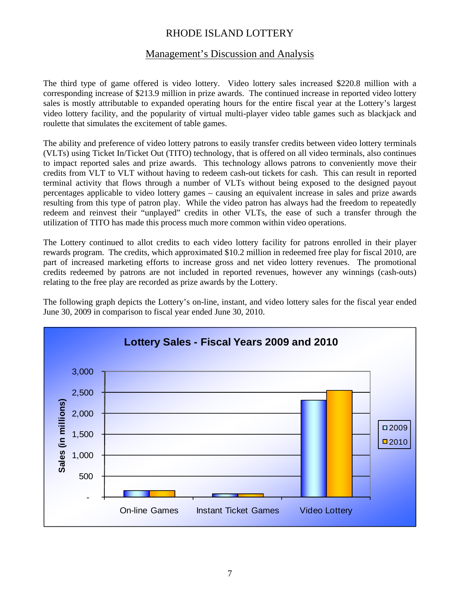## Management's Discussion and Analysis

The third type of game offered is video lottery. Video lottery sales increased \$220.8 million with a corresponding increase of \$213.9 million in prize awards. The continued increase in reported video lottery sales is mostly attributable to expanded operating hours for the entire fiscal year at the Lottery's largest video lottery facility, and the popularity of virtual multi-player video table games such as blackjack and roulette that simulates the excitement of table games.

The ability and preference of video lottery patrons to easily transfer credits between video lottery terminals (VLTs) using Ticket In/Ticket Out (TITO) technology, that is offered on all video terminals, also continues to impact reported sales and prize awards. This technology allows patrons to conveniently move their credits from VLT to VLT without having to redeem cash-out tickets for cash. This can result in reported terminal activity that flows through a number of VLTs without being exposed to the designed payout percentages applicable to video lottery games – causing an equivalent increase in sales and prize awards resulting from this type of patron play. While the video patron has always had the freedom to repeatedly redeem and reinvest their "unplayed" credits in other VLTs, the ease of such a transfer through the utilization of TITO has made this process much more common within video operations.

The Lottery continued to allot credits to each video lottery facility for patrons enrolled in their player rewards program. The credits, which approximated \$10.2 million in redeemed free play for fiscal 2010, are part of increased marketing efforts to increase gross and net video lottery revenues. The promotional credits redeemed by patrons are not included in reported revenues, however any winnings (cash-outs) relating to the free play are recorded as prize awards by the Lottery.

The following graph depicts the Lottery's on-line, instant, and video lottery sales for the fiscal year ended June 30, 2009 in comparison to fiscal year ended June 30, 2010.

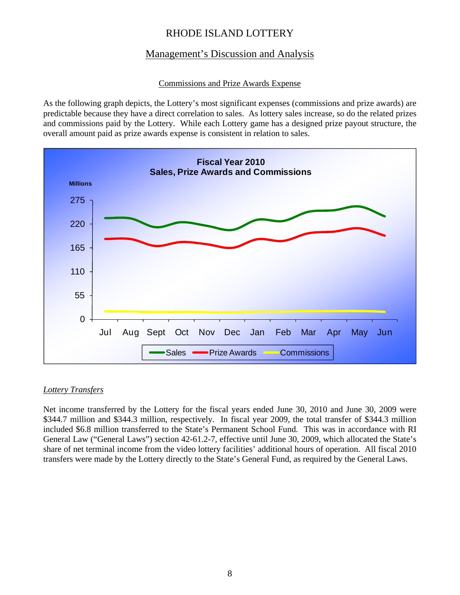## Management's Discussion and Analysis

### Commissions and Prize Awards Expense

As the following graph depicts, the Lottery's most significant expenses (commissions and prize awards) are predictable because they have a direct correlation to sales. As lottery sales increase, so do the related prizes and commissions paid by the Lottery. While each Lottery game has a designed prize payout structure, the overall amount paid as prize awards expense is consistent in relation to sales.



### *Lottery Transfers*

Net income transferred by the Lottery for the fiscal years ended June 30, 2010 and June 30, 2009 were \$344.7 million and \$344.3 million, respectively. In fiscal year 2009, the total transfer of \$344.3 million included \$6.8 million transferred to the State's Permanent School Fund. This was in accordance with RI General Law ("General Laws") section 42-61.2-7, effective until June 30, 2009, which allocated the State's share of net terminal income from the video lottery facilities' additional hours of operation. All fiscal 2010 transfers were made by the Lottery directly to the State's General Fund, as required by the General Laws.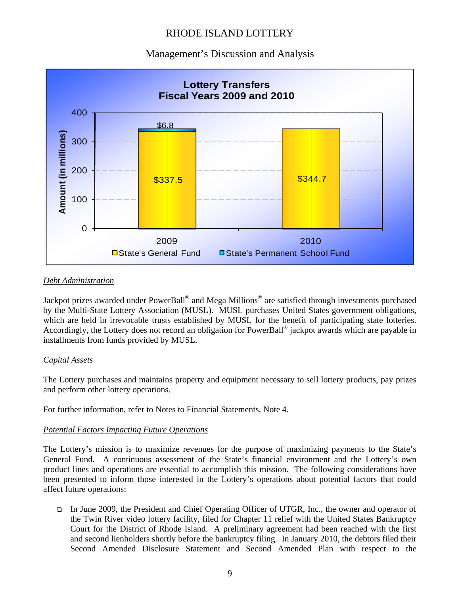### Management's Discussion and Analysis



### *Debt Administration*

Jackpot prizes awarded under PowerBall® and Mega Millions® are satisfied through investments purchased by the Multi-State Lottery Association (MUSL). MUSL purchases United States government obligations, which are held in irrevocable trusts established by MUSL for the benefit of participating state lotteries. Accordingly, the Lottery does not record an obligation for PowerBall® jackpot awards which are payable in installments from funds provided by MUSL.

#### *Capital Assets*

The Lottery purchases and maintains property and equipment necessary to sell lottery products, pay prizes and perform other lottery operations.

For further information, refer to Notes to Financial Statements, Note 4.

### *Potential Factors Impacting Future Operations*

The Lottery's mission is to maximize revenues for the purpose of maximizing payments to the State's General Fund. A continuous assessment of the State's financial environment and the Lottery's own product lines and operations are essential to accomplish this mission. The following considerations have been presented to inform those interested in the Lottery's operations about potential factors that could affect future operations:

 In June 2009, the President and Chief Operating Officer of UTGR, Inc., the owner and operator of the Twin River video lottery facility, filed for Chapter 11 relief with the United States Bankruptcy Court for the District of Rhode Island. A preliminary agreement had been reached with the first and second lienholders shortly before the bankruptcy filing. In January 2010, the debtors filed their Second Amended Disclosure Statement and Second Amended Plan with respect to the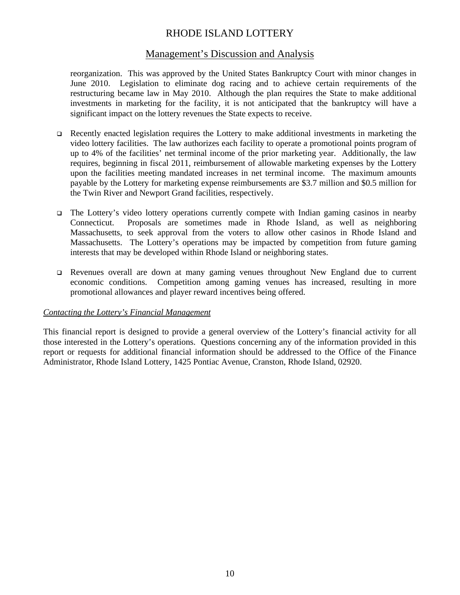### Management's Discussion and Analysis

reorganization. This was approved by the United States Bankruptcy Court with minor changes in June 2010. Legislation to eliminate dog racing and to achieve certain requirements of the restructuring became law in May 2010. Although the plan requires the State to make additional investments in marketing for the facility, it is not anticipated that the bankruptcy will have a significant impact on the lottery revenues the State expects to receive.

- Recently enacted legislation requires the Lottery to make additional investments in marketing the video lottery facilities. The law authorizes each facility to operate a promotional points program of up to 4% of the facilities' net terminal income of the prior marketing year. Additionally, the law requires, beginning in fiscal 2011, reimbursement of allowable marketing expenses by the Lottery upon the facilities meeting mandated increases in net terminal income. The maximum amounts payable by the Lottery for marketing expense reimbursements are \$3.7 million and \$0.5 million for the Twin River and Newport Grand facilities, respectively.
- The Lottery's video lottery operations currently compete with Indian gaming casinos in nearby Connecticut. Proposals are sometimes made in Rhode Island, as well as neighboring Massachusetts, to seek approval from the voters to allow other casinos in Rhode Island and Massachusetts. The Lottery's operations may be impacted by competition from future gaming interests that may be developed within Rhode Island or neighboring states.
- Revenues overall are down at many gaming venues throughout New England due to current economic conditions. Competition among gaming venues has increased, resulting in more promotional allowances and player reward incentives being offered.

#### *Contacting the Lottery's Financial Management*

This financial report is designed to provide a general overview of the Lottery's financial activity for all those interested in the Lottery's operations. Questions concerning any of the information provided in this report or requests for additional financial information should be addressed to the Office of the Finance Administrator, Rhode Island Lottery, 1425 Pontiac Avenue, Cranston, Rhode Island, 02920.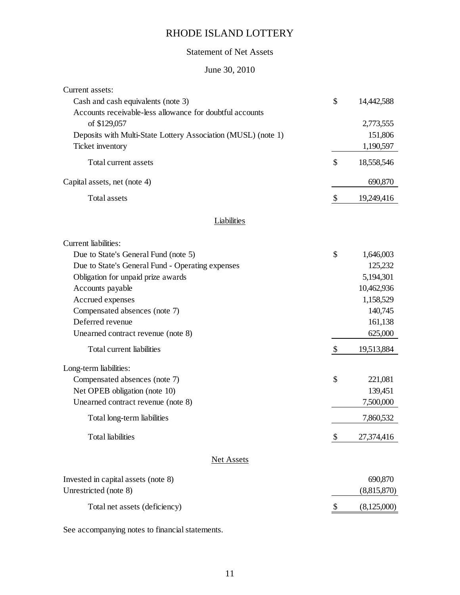## Statement of Net Assets

## June 30, 2010

| Current assets:                                               |                           |             |
|---------------------------------------------------------------|---------------------------|-------------|
| Cash and cash equivalents (note 3)                            | \$                        | 14,442,588  |
| Accounts receivable-less allowance for doubtful accounts      |                           |             |
| of \$129,057                                                  |                           | 2,773,555   |
| Deposits with Multi-State Lottery Association (MUSL) (note 1) |                           | 151,806     |
| Ticket inventory                                              |                           | 1,190,597   |
| Total current assets                                          | \$                        | 18,558,546  |
| Capital assets, net (note 4)                                  |                           | 690,870     |
| Total assets                                                  | $\boldsymbol{\mathsf{S}}$ | 19,249,416  |
| Liabilities                                                   |                           |             |
| Current liabilities:                                          |                           |             |
| Due to State's General Fund (note 5)                          | $\mathcal{S}$             | 1,646,003   |
| Due to State's General Fund - Operating expenses              |                           | 125,232     |
| Obligation for unpaid prize awards                            |                           | 5,194,301   |
| Accounts payable                                              |                           | 10,462,936  |
| Accrued expenses                                              |                           | 1,158,529   |
| Compensated absences (note 7)                                 |                           | 140,745     |
| Deferred revenue                                              |                           | 161,138     |
| Unearned contract revenue (note 8)                            |                           | 625,000     |
| Total current liabilities                                     | \$                        | 19,513,884  |
| Long-term liabilities:                                        |                           |             |
| Compensated absences (note 7)                                 | \$                        | 221,081     |
| Net OPEB obligation (note 10)                                 |                           | 139,451     |
| Unearned contract revenue (note 8)                            |                           | 7,500,000   |
| Total long-term liabilities                                   |                           | 7,860,532   |
| <b>Total liabilities</b>                                      | \$                        | 27,374,416  |
| <b>Net Assets</b>                                             |                           |             |
| Invested in capital assets (note 8)                           |                           | 690,870     |
| Unrestricted (note 8)                                         |                           | (8,815,870) |
| Total net assets (deficiency)                                 | \$                        | (8,125,000) |
|                                                               |                           |             |

See accompanying notes to financial statements.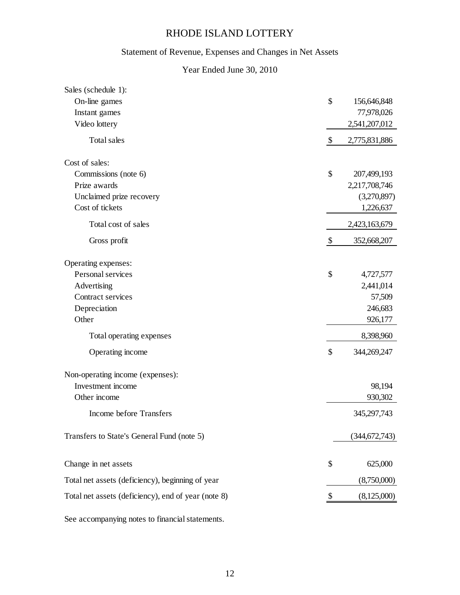## Statement of Revenue, Expenses and Changes in Net Assets

### Year Ended June 30, 2010

| Sales (schedule 1):                                 |                           |               |
|-----------------------------------------------------|---------------------------|---------------|
| On-line games                                       | \$                        | 156,646,848   |
| Instant games                                       |                           | 77,978,026    |
| Video lottery                                       |                           | 2,541,207,012 |
| Total sales                                         | $\boldsymbol{\mathsf{S}}$ | 2,775,831,886 |
| Cost of sales:                                      |                           |               |
| Commissions (note 6)                                | \$                        | 207,499,193   |
| Prize awards                                        |                           | 2,217,708,746 |
| Unclaimed prize recovery                            |                           | (3,270,897)   |
| Cost of tickets                                     |                           | 1,226,637     |
| Total cost of sales                                 |                           | 2,423,163,679 |
| Gross profit                                        | $\boldsymbol{\mathsf{S}}$ | 352,668,207   |
| Operating expenses:                                 |                           |               |
| Personal services                                   | \$                        | 4,727,577     |
| Advertising                                         |                           | 2,441,014     |
| Contract services                                   |                           | 57,509        |
| Depreciation                                        |                           | 246,683       |
| Other                                               |                           | 926,177       |
| Total operating expenses                            |                           | 8,398,960     |
| Operating income                                    | \$                        | 344,269,247   |
| Non-operating income (expenses):                    |                           |               |
| Investment income                                   |                           | 98,194        |
| Other income                                        |                           | 930,302       |
| Income before Transfers                             |                           | 345,297,743   |
| Transfers to State's General Fund (note 5)          |                           | (344,672,743) |
| Change in net assets                                | \$                        | 625,000       |
| Total net assets (deficiency), beginning of year    |                           | (8,750,000)   |
| Total net assets (deficiency), end of year (note 8) |                           | (8,125,000)   |
|                                                     |                           |               |

See accompanying notes to financial statements.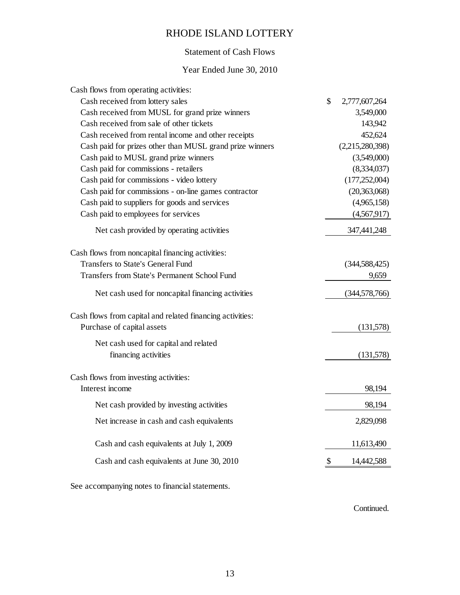### Statement of Cash Flows

### Year Ended June 30, 2010

| Cash flows from operating activities:                     |                     |
|-----------------------------------------------------------|---------------------|
| Cash received from lottery sales                          | \$<br>2,777,607,264 |
| Cash received from MUSL for grand prize winners           | 3,549,000           |
| Cash received from sale of other tickets                  | 143,942             |
| Cash received from rental income and other receipts       | 452,624             |
| Cash paid for prizes other than MUSL grand prize winners  | (2,215,280,398)     |
| Cash paid to MUSL grand prize winners                     | (3,549,000)         |
| Cash paid for commissions - retailers                     | (8,334,037)         |
| Cash paid for commissions - video lottery                 | (177, 252, 004)     |
| Cash paid for commissions - on-line games contractor      | (20, 363, 068)      |
| Cash paid to suppliers for goods and services             | (4,965,158)         |
| Cash paid to employees for services                       | (4,567,917)         |
| Net cash provided by operating activities                 | 347,441,248         |
| Cash flows from noncapital financing activities:          |                     |
| <b>Transfers to State's General Fund</b>                  | (344, 588, 425)     |
| <b>Transfers from State's Permanent School Fund</b>       | 9,659               |
| Net cash used for noncapital financing activities         | (344, 578, 766)     |
| Cash flows from capital and related financing activities: |                     |
| Purchase of capital assets                                | (131,578)           |
| Net cash used for capital and related                     |                     |
| financing activities                                      | (131,578)           |
| Cash flows from investing activities:                     |                     |
| Interest income                                           | 98,194              |
| Net cash provided by investing activities                 | 98,194              |
| Net increase in cash and cash equivalents                 | 2,829,098           |
| Cash and cash equivalents at July 1, 2009                 | 11,613,490          |
| Cash and cash equivalents at June 30, 2010                | \$<br>14,442,588    |
|                                                           |                     |

See accompanying notes to financial statements.

Continued.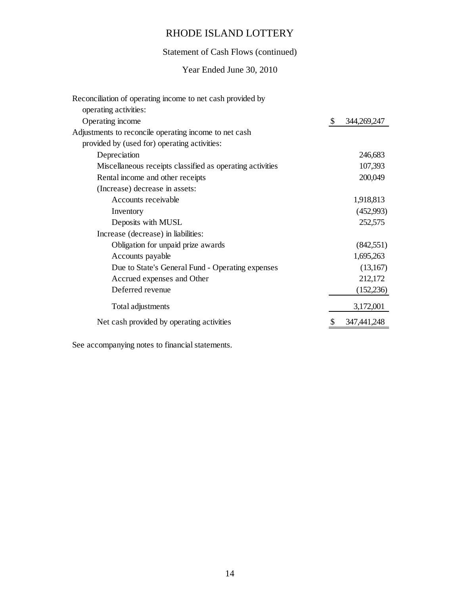# Statement of Cash Flows (continued)

### Year Ended June 30, 2010

| Reconciliation of operating income to net cash provided by |               |             |
|------------------------------------------------------------|---------------|-------------|
| operating activities:                                      |               |             |
| Operating income                                           | $\mathcal{S}$ | 344,269,247 |
| Adjustments to reconcile operating income to net cash      |               |             |
| provided by (used for) operating activities:               |               |             |
| Depreciation                                               |               | 246,683     |
| Miscellaneous receipts classified as operating activities  |               | 107,393     |
| Rental income and other receipts                           |               | 200,049     |
| (Increase) decrease in assets:                             |               |             |
| Accounts receivable                                        |               | 1,918,813   |
| Inventory                                                  |               | (452,993)   |
| Deposits with MUSL                                         |               | 252,575     |
| Increase (decrease) in liabilities:                        |               |             |
| Obligation for unpaid prize awards                         |               | (842,551)   |
| Accounts payable                                           |               | 1,695,263   |
| Due to State's General Fund - Operating expenses           |               | (13,167)    |
| Accrued expenses and Other                                 |               | 212,172     |
| Deferred revenue                                           |               | (152, 236)  |
| Total adjustments                                          |               | 3,172,001   |
| Net cash provided by operating activities                  |               | 347,441,248 |

See accompanying notes to financial statements.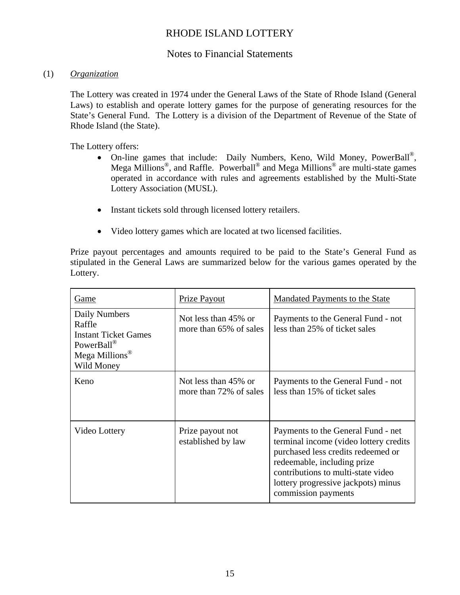### Notes to Financial Statements

### (1) *Organization*

The Lottery was created in 1974 under the General Laws of the State of Rhode Island (General Laws) to establish and operate lottery games for the purpose of generating resources for the State's General Fund. The Lottery is a division of the Department of Revenue of the State of Rhode Island (the State).

The Lottery offers:

- On-line games that include: Daily Numbers, Keno, Wild Money, PowerBall®, Mega Millions®, and Raffle. Powerball® and Mega Millions® are multi-state games operated in accordance with rules and agreements established by the Multi-State Lottery Association (MUSL).
- Instant tickets sold through licensed lottery retailers.
- Video lottery games which are located at two licensed facilities.

Prize payout percentages and amounts required to be paid to the State's General Fund as stipulated in the General Laws are summarized below for the various games operated by the Lottery.

| Game                                                                                                             | Prize Payout                                   | Mandated Payments to the State                                                                                                                                                                                                                         |
|------------------------------------------------------------------------------------------------------------------|------------------------------------------------|--------------------------------------------------------------------------------------------------------------------------------------------------------------------------------------------------------------------------------------------------------|
| Daily Numbers<br>Raffle<br><b>Instant Ticket Games</b><br>PowerBall®<br>Mega Millions <sup>®</sup><br>Wild Money | Not less than 45% or<br>more than 65% of sales | Payments to the General Fund - not<br>less than 25% of ticket sales                                                                                                                                                                                    |
| Keno                                                                                                             | Not less than 45% or<br>more than 72% of sales | Payments to the General Fund - not<br>less than 15% of ticket sales                                                                                                                                                                                    |
| Video Lottery                                                                                                    | Prize payout not<br>established by law         | Payments to the General Fund - net<br>terminal income (video lottery credits)<br>purchased less credits redeemed or<br>redeemable, including prize<br>contributions to multi-state video<br>lottery progressive jackpots) minus<br>commission payments |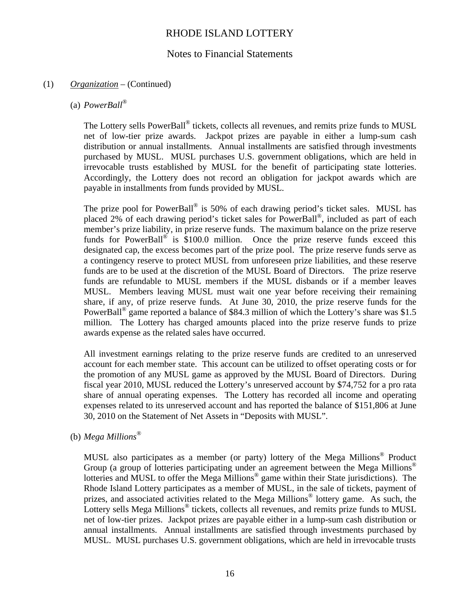### Notes to Financial Statements

### (1) *Organization* – (Continued)

### (a) *PowerBall®*

The Lottery sells PowerBall<sup>®</sup> tickets, collects all revenues, and remits prize funds to MUSL net of low-tier prize awards. Jackpot prizes are payable in either a lump-sum cash distribution or annual installments. Annual installments are satisfied through investments purchased by MUSL. MUSL purchases U.S. government obligations, which are held in irrevocable trusts established by MUSL for the benefit of participating state lotteries. Accordingly, the Lottery does not record an obligation for jackpot awards which are payable in installments from funds provided by MUSL.

The prize pool for PowerBall<sup>®</sup> is 50% of each drawing period's ticket sales. MUSL has placed 2% of each drawing period's ticket sales for PowerBall®, included as part of each member's prize liability, in prize reserve funds. The maximum balance on the prize reserve funds for PowerBall<sup>®</sup> is  $\overline{$}100.0$  million. Once the prize reserve funds exceed this designated cap, the excess becomes part of the prize pool. The prize reserve funds serve as a contingency reserve to protect MUSL from unforeseen prize liabilities, and these reserve funds are to be used at the discretion of the MUSL Board of Directors. The prize reserve funds are refundable to MUSL members if the MUSL disbands or if a member leaves MUSL. Members leaving MUSL must wait one year before receiving their remaining share, if any, of prize reserve funds. At June 30, 2010, the prize reserve funds for the PowerBall<sup>®</sup> game reported a balance of \$84.3 million of which the Lottery's share was \$1.5 million. The Lottery has charged amounts placed into the prize reserve funds to prize awards expense as the related sales have occurred.

All investment earnings relating to the prize reserve funds are credited to an unreserved account for each member state. This account can be utilized to offset operating costs or for the promotion of any MUSL game as approved by the MUSL Board of Directors. During fiscal year 2010, MUSL reduced the Lottery's unreserved account by \$74,752 for a pro rata share of annual operating expenses. The Lottery has recorded all income and operating expenses related to its unreserved account and has reported the balance of \$151,806 at June 30, 2010 on the Statement of Net Assets in "Deposits with MUSL".

### (b) *Mega Millions®*

MUSL also participates as a member (or party) lottery of the Mega Millions® Product Group (a group of lotteries participating under an agreement between the Mega Millions<sup>®</sup> lotteries and MUSL to offer the Mega Millions<sup>®</sup> game within their State jurisdictions). The Rhode Island Lottery participates as a member of MUSL, in the sale of tickets, payment of prizes, and associated activities related to the Mega Millions® lottery game. As such, the Lottery sells Mega Millions<sup>®</sup> tickets, collects all revenues, and remits prize funds to MUSL net of low-tier prizes. Jackpot prizes are payable either in a lump-sum cash distribution or annual installments. Annual installments are satisfied through investments purchased by MUSL. MUSL purchases U.S. government obligations, which are held in irrevocable trusts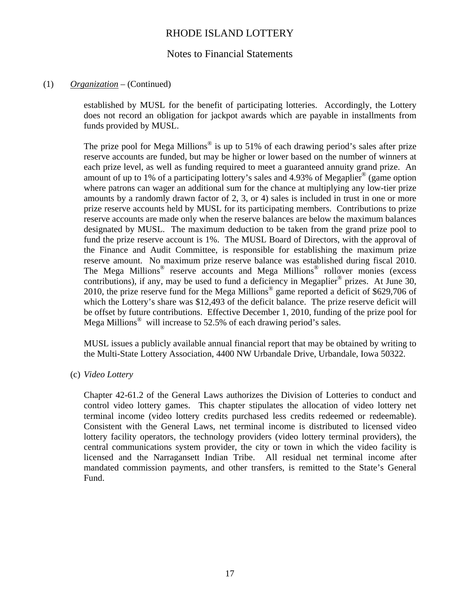### Notes to Financial Statements

### (1) *Organization* – (Continued)

established by MUSL for the benefit of participating lotteries. Accordingly, the Lottery does not record an obligation for jackpot awards which are payable in installments from funds provided by MUSL.

The prize pool for Mega Millions<sup>®</sup> is up to 51% of each drawing period's sales after prize reserve accounts are funded, but may be higher or lower based on the number of winners at each prize level, as well as funding required to meet a guaranteed annuity grand prize. An amount of up to 1% of a participating lottery's sales and 4.93% of Megaplier<sup>®</sup> (game option where patrons can wager an additional sum for the chance at multiplying any low-tier prize amounts by a randomly drawn factor of 2, 3, or 4) sales is included in trust in one or more prize reserve accounts held by MUSL for its participating members. Contributions to prize reserve accounts are made only when the reserve balances are below the maximum balances designated by MUSL. The maximum deduction to be taken from the grand prize pool to fund the prize reserve account is 1%. The MUSL Board of Directors, with the approval of the Finance and Audit Committee, is responsible for establishing the maximum prize reserve amount. No maximum prize reserve balance was established during fiscal 2010. The Mega Millions® reserve accounts and Mega Millions® rollover monies (excess contributions), if any, may be used to fund a deficiency in Megaplier<sup>®</sup> prizes. At June 30, 2010, the prize reserve fund for the Mega Millions® game reported a deficit of \$629,706 of which the Lottery's share was \$12,493 of the deficit balance. The prize reserve deficit will be offset by future contributions. Effective December 1, 2010, funding of the prize pool for Mega Millions<sup>®</sup> will increase to 52.5% of each drawing period's sales.

MUSL issues a publicly available annual financial report that may be obtained by writing to the Multi-State Lottery Association, 4400 NW Urbandale Drive, Urbandale, Iowa 50322.

(c) *Video Lottery* 

Chapter 42-61.2 of the General Laws authorizes the Division of Lotteries to conduct and control video lottery games. This chapter stipulates the allocation of video lottery net terminal income (video lottery credits purchased less credits redeemed or redeemable). Consistent with the General Laws, net terminal income is distributed to licensed video lottery facility operators, the technology providers (video lottery terminal providers), the central communications system provider, the city or town in which the video facility is licensed and the Narragansett Indian Tribe. All residual net terminal income after mandated commission payments, and other transfers, is remitted to the State's General Fund.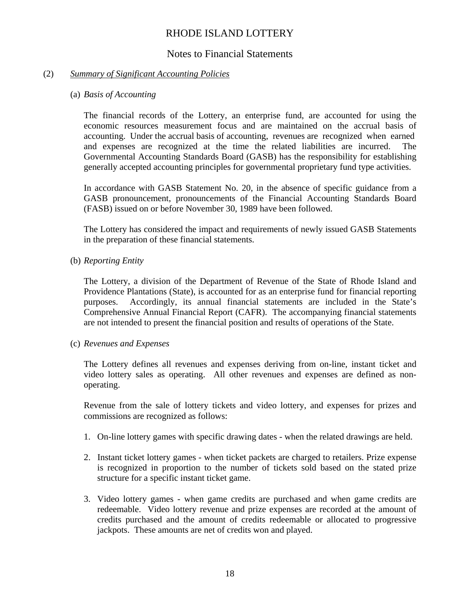### Notes to Financial Statements

### (2) *Summary of Significant Accounting Policies*

#### (a) *Basis of Accounting*

The financial records of the Lottery, an enterprise fund, are accounted for using the economic resources measurement focus and are maintained on the accrual basis of accounting. Under the accrual basis of accounting, revenues are recognized when earned and expenses are recognized at the time the related liabilities are incurred. The Governmental Accounting Standards Board (GASB) has the responsibility for establishing generally accepted accounting principles for governmental proprietary fund type activities.

In accordance with GASB Statement No. 20, in the absence of specific guidance from a GASB pronouncement, pronouncements of the Financial Accounting Standards Board (FASB) issued on or before November 30, 1989 have been followed.

The Lottery has considered the impact and requirements of newly issued GASB Statements in the preparation of these financial statements.

(b) *Reporting Entity* 

The Lottery, a division of the Department of Revenue of the State of Rhode Island and Providence Plantations (State), is accounted for as an enterprise fund for financial reporting purposes. Accordingly, its annual financial statements are included in the State's Comprehensive Annual Financial Report (CAFR). The accompanying financial statements are not intended to present the financial position and results of operations of the State.

(c) *Revenues and Expenses*

The Lottery defines all revenues and expenses deriving from on-line, instant ticket and video lottery sales as operating. All other revenues and expenses are defined as nonoperating.

Revenue from the sale of lottery tickets and video lottery, and expenses for prizes and commissions are recognized as follows:

- 1. On-line lottery games with specific drawing dates when the related drawings are held.
- 2. Instant ticket lottery games when ticket packets are charged to retailers. Prize expense is recognized in proportion to the number of tickets sold based on the stated prize structure for a specific instant ticket game.
- 3. Video lottery games when game credits are purchased and when game credits are redeemable. Video lottery revenue and prize expenses are recorded at the amount of credits purchased and the amount of credits redeemable or allocated to progressive jackpots. These amounts are net of credits won and played.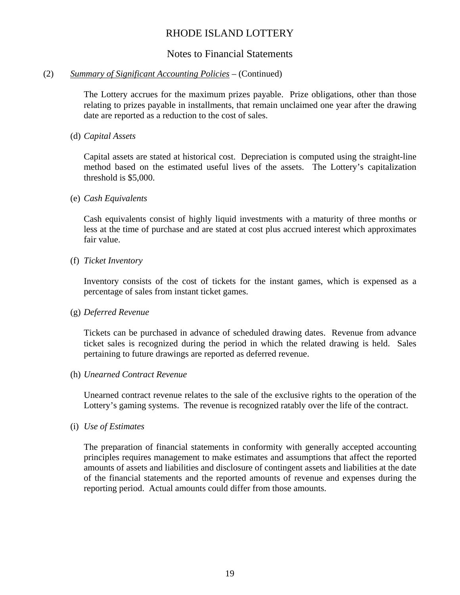### Notes to Financial Statements

### (2) *Summary of Significant Accounting Policies* – (Continued)

The Lottery accrues for the maximum prizes payable. Prize obligations, other than those relating to prizes payable in installments, that remain unclaimed one year after the drawing date are reported as a reduction to the cost of sales.

### (d) *Capital Assets*

Capital assets are stated at historical cost. Depreciation is computed using the straight-line method based on the estimated useful lives of the assets. The Lottery's capitalization threshold is \$5,000.

#### (e) *Cash Equivalents*

Cash equivalents consist of highly liquid investments with a maturity of three months or less at the time of purchase and are stated at cost plus accrued interest which approximates fair value.

#### (f) *Ticket Inventory*

Inventory consists of the cost of tickets for the instant games, which is expensed as a percentage of sales from instant ticket games.

### (g) *Deferred Revenue*

Tickets can be purchased in advance of scheduled drawing dates. Revenue from advance ticket sales is recognized during the period in which the related drawing is held. Sales pertaining to future drawings are reported as deferred revenue.

#### (h) *Unearned Contract Revenue*

Unearned contract revenue relates to the sale of the exclusive rights to the operation of the Lottery's gaming systems. The revenue is recognized ratably over the life of the contract.

#### (i) *Use of Estimates*

The preparation of financial statements in conformity with generally accepted accounting principles requires management to make estimates and assumptions that affect the reported amounts of assets and liabilities and disclosure of contingent assets and liabilities at the date of the financial statements and the reported amounts of revenue and expenses during the reporting period. Actual amounts could differ from those amounts.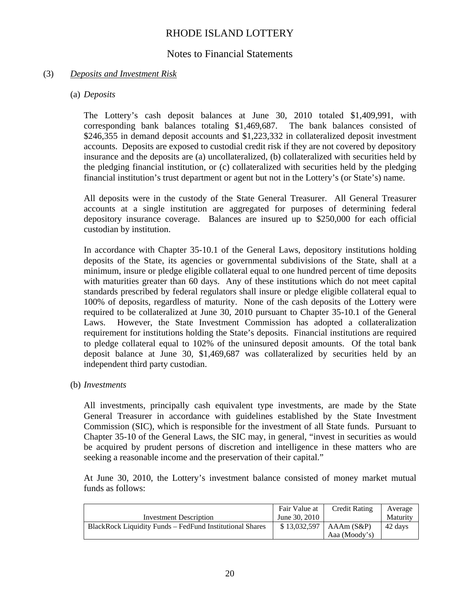### Notes to Financial Statements

### (3) *Deposits and Investment Risk*

### (a) *Deposits*

The Lottery's cash deposit balances at June 30, 2010 totaled \$1,409,991, with corresponding bank balances totaling \$1,469,687. The bank balances consisted of \$246,355 in demand deposit accounts and \$1,223,332 in collateralized deposit investment accounts. Deposits are exposed to custodial credit risk if they are not covered by depository insurance and the deposits are (a) uncollateralized, (b) collateralized with securities held by the pledging financial institution, or (c) collateralized with securities held by the pledging financial institution's trust department or agent but not in the Lottery's (or State's) name.

All deposits were in the custody of the State General Treasurer. All General Treasurer accounts at a single institution are aggregated for purposes of determining federal depository insurance coverage. Balances are insured up to \$250,000 for each official custodian by institution.

In accordance with Chapter 35-10.1 of the General Laws, depository institutions holding deposits of the State, its agencies or governmental subdivisions of the State, shall at a minimum, insure or pledge eligible collateral equal to one hundred percent of time deposits with maturities greater than 60 days. Any of these institutions which do not meet capital standards prescribed by federal regulators shall insure or pledge eligible collateral equal to 100% of deposits, regardless of maturity. None of the cash deposits of the Lottery were required to be collateralized at June 30, 2010 pursuant to Chapter 35-10.1 of the General Laws. However, the State Investment Commission has adopted a collateralization requirement for institutions holding the State's deposits. Financial institutions are required to pledge collateral equal to 102% of the uninsured deposit amounts. Of the total bank deposit balance at June 30, \$1,469,687 was collateralized by securities held by an independent third party custodian.

### (b) *Investments*

All investments, principally cash equivalent type investments, are made by the State General Treasurer in accordance with guidelines established by the State Investment Commission (SIC), which is responsible for the investment of all State funds. Pursuant to Chapter 35-10 of the General Laws, the SIC may, in general, "invest in securities as would be acquired by prudent persons of discretion and intelligence in these matters who are seeking a reasonable income and the preservation of their capital."

At June 30, 2010, the Lottery's investment balance consisted of money market mutual funds as follows:

|                                                          | Fair Value at | <b>Credit Rating</b> | Average  |
|----------------------------------------------------------|---------------|----------------------|----------|
| Investment Description                                   | June 30, 2010 |                      | Maturity |
| BlackRock Liquidity Funds – FedFund Institutional Shares | \$13,032,597  | $AAAm(S\&P)$         | 42 days  |
|                                                          |               | Aaa (Moody's)        |          |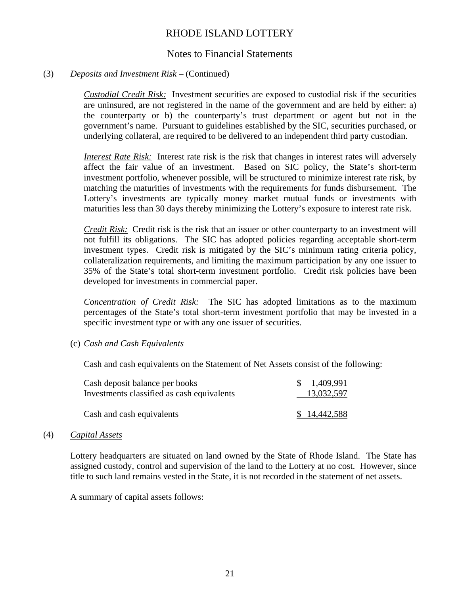### Notes to Financial Statements

### (3) *Deposits and Investment Risk* – (Continued)

*Custodial Credit Risk:* Investment securities are exposed to custodial risk if the securities are uninsured, are not registered in the name of the government and are held by either: a) the counterparty or b) the counterparty's trust department or agent but not in the government's name. Pursuant to guidelines established by the SIC, securities purchased, or underlying collateral, are required to be delivered to an independent third party custodian.

*Interest Rate Risk:* Interest rate risk is the risk that changes in interest rates will adversely affect the fair value of an investment. Based on SIC policy, the State's short-term investment portfolio, whenever possible, will be structured to minimize interest rate risk, by matching the maturities of investments with the requirements for funds disbursement. The Lottery's investments are typically money market mutual funds or investments with maturities less than 30 days thereby minimizing the Lottery's exposure to interest rate risk.

*Credit Risk:* Credit risk is the risk that an issuer or other counterparty to an investment will not fulfill its obligations. The SIC has adopted policies regarding acceptable short-term investment types. Credit risk is mitigated by the SIC's minimum rating criteria policy, collateralization requirements, and limiting the maximum participation by any one issuer to 35% of the State's total short-term investment portfolio. Credit risk policies have been developed for investments in commercial paper.

*Concentration of Credit Risk:* The SIC has adopted limitations as to the maximum percentages of the State's total short-term investment portfolio that may be invested in a specific investment type or with any one issuer of securities.

(c) *Cash and Cash Equivalents* 

Cash and cash equivalents on the Statement of Net Assets consist of the following:

| Cash deposit balance per books             | \$1,409,991  |
|--------------------------------------------|--------------|
| Investments classified as cash equivalents | 13,032,597   |
| Cash and cash equivalents                  | \$14,442,588 |

#### (4) *Capital Assets*

Lottery headquarters are situated on land owned by the State of Rhode Island. The State has assigned custody, control and supervision of the land to the Lottery at no cost. However, since title to such land remains vested in the State, it is not recorded in the statement of net assets.

A summary of capital assets follows: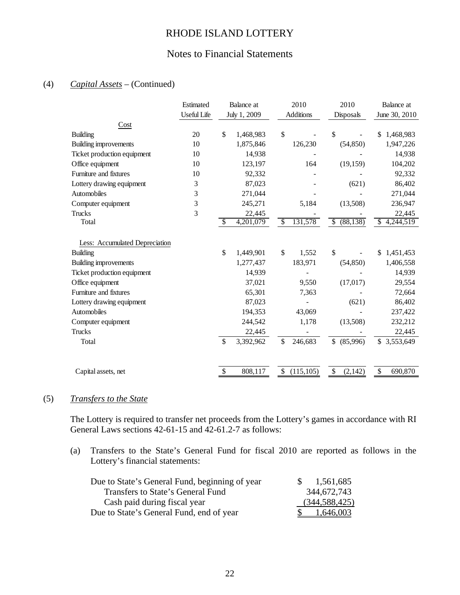## Notes to Financial Statements

### (4) *Capital Assets* – (Continued)

|                                | Estimated          | Balance at      | 2010          |                               | 2010            |               | Balance at |
|--------------------------------|--------------------|-----------------|---------------|-------------------------------|-----------------|---------------|------------|
|                                | <b>Useful Life</b> | July 1, 2009    |               | <b>Additions</b><br>Disposals |                 | June 30, 2010 |            |
| Cost                           |                    |                 |               |                               |                 |               |            |
| <b>Building</b>                | 20                 | \$<br>1,468,983 | $\mathcal{S}$ |                               | \$              | \$            | 1,468,983  |
| Building improvements          | 10                 | 1,875,846       |               | 126,230                       | (54, 850)       |               | 1,947,226  |
| Ticket production equipment    | 10                 | 14,938          |               |                               |                 |               | 14,938     |
| Office equipment               | 10                 | 123,197         |               | 164                           | (19, 159)       |               | 104,202    |
| Furniture and fixtures         | 10                 | 92,332          |               |                               |                 |               | 92,332     |
| Lottery drawing equipment      | 3                  | 87,023          |               |                               | (621)           |               | 86,402     |
| Automobiles                    | 3                  | 271,044         |               |                               |                 |               | 271,044    |
| Computer equipment             | 3                  | 245,271         |               | 5,184                         | (13,508)        |               | 236,947    |
| Trucks                         | 3                  | 22,445          |               |                               |                 |               | 22,445     |
| Total                          |                    | \$<br>4,201,079 | $\mathcal{S}$ | 131,578                       | (88, 138)<br>\$ | \$            | 4,244,519  |
|                                |                    |                 |               |                               |                 |               |            |
| Less: Accumulated Depreciation |                    |                 |               |                               |                 |               |            |
| <b>Building</b>                |                    | \$<br>1,449,901 | \$            | 1,552                         | \$              | \$            | 1,451,453  |
| Building improvements          |                    | 1,277,437       |               | 183,971                       | (54, 850)       |               | 1,406,558  |
| Ticket production equipment    |                    | 14,939          |               |                               |                 |               | 14,939     |
| Office equipment               |                    | 37,021          |               | 9,550                         | (17, 017)       |               | 29,554     |
| Furniture and fixtures         |                    | 65,301          |               | 7,363                         |                 |               | 72,664     |
| Lottery drawing equipment      |                    | 87,023          |               |                               | (621)           |               | 86,402     |
| Automobiles                    |                    | 194,353         |               | 43,069                        |                 |               | 237,422    |
| Computer equipment             |                    | 244,542         |               | 1,178                         | (13,508)        |               | 232,212    |
| Trucks                         |                    | 22,445          |               |                               |                 |               | 22,445     |
| Total                          |                    | \$<br>3,392,962 | \$            | 246,683                       | \$<br>(85,996)  | \$            | 3,553,649  |
|                                |                    |                 |               |                               |                 |               |            |
| Capital assets, net            |                    | \$<br>808,117   | \$            | (115, 105)                    | \$<br>(2, 142)  | \$            | 690,870    |

### (5) *Transfers to the State*

The Lottery is required to transfer net proceeds from the Lottery's games in accordance with RI General Laws sections 42-61-15 and 42-61.2-7 as follows:

(a) Transfers to the State's General Fund for fiscal 2010 are reported as follows in the Lottery's financial statements:

| Due to State's General Fund, beginning of year | 1,561,685<br><sup>S</sup> |
|------------------------------------------------|---------------------------|
| Transfers to State's General Fund              | 344,672,743               |
| Cash paid during fiscal year                   | (344, 588, 425)           |
| Due to State's General Fund, end of year       | 1,646,003                 |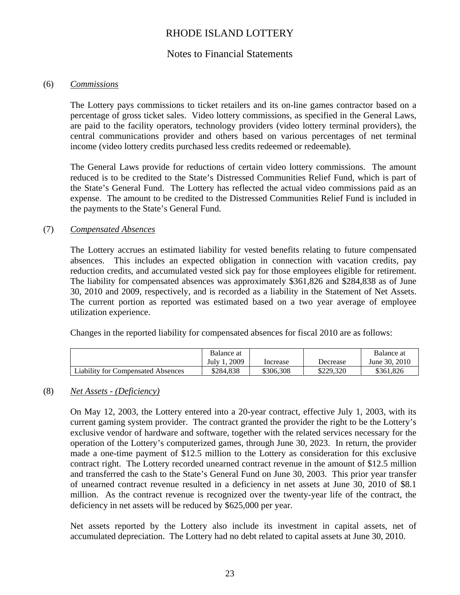### Notes to Financial Statements

### (6) *Commissions*

The Lottery pays commissions to ticket retailers and its on-line games contractor based on a percentage of gross ticket sales. Video lottery commissions, as specified in the General Laws, are paid to the facility operators, technology providers (video lottery terminal providers), the central communications provider and others based on various percentages of net terminal income (video lottery credits purchased less credits redeemed or redeemable).

The General Laws provide for reductions of certain video lottery commissions. The amount reduced is to be credited to the State's Distressed Communities Relief Fund, which is part of the State's General Fund. The Lottery has reflected the actual video commissions paid as an expense. The amount to be credited to the Distressed Communities Relief Fund is included in the payments to the State's General Fund.

### (7) *Compensated Absences*

The Lottery accrues an estimated liability for vested benefits relating to future compensated absences. This includes an expected obligation in connection with vacation credits, pay reduction credits, and accumulated vested sick pay for those employees eligible for retirement. The liability for compensated absences was approximately \$361,826 and \$284,838 as of June 30, 2010 and 2009, respectively, and is recorded as a liability in the Statement of Net Assets. The current portion as reported was estimated based on a two year average of employee utilization experience.

Changes in the reported liability for compensated absences for fiscal 2010 are as follows:

|                                           | Balance at   |           |           | Balance at    |
|-------------------------------------------|--------------|-----------|-----------|---------------|
|                                           | 2009<br>July | Increase  | Decrease  | June 30, 2010 |
| <b>Liability for Compensated Absences</b> | \$284.838    | \$306.308 | \$229,320 | \$361,826     |

### (8) *Net Assets - (Deficiency)*

On May 12, 2003, the Lottery entered into a 20-year contract, effective July 1, 2003, with its current gaming system provider. The contract granted the provider the right to be the Lottery's exclusive vendor of hardware and software, together with the related services necessary for the operation of the Lottery's computerized games, through June 30, 2023. In return, the provider made a one-time payment of \$12.5 million to the Lottery as consideration for this exclusive contract right. The Lottery recorded unearned contract revenue in the amount of \$12.5 million and transferred the cash to the State's General Fund on June 30, 2003. This prior year transfer of unearned contract revenue resulted in a deficiency in net assets at June 30, 2010 of \$8.1 million. As the contract revenue is recognized over the twenty-year life of the contract, the deficiency in net assets will be reduced by \$625,000 per year.

Net assets reported by the Lottery also include its investment in capital assets, net of accumulated depreciation. The Lottery had no debt related to capital assets at June 30, 2010.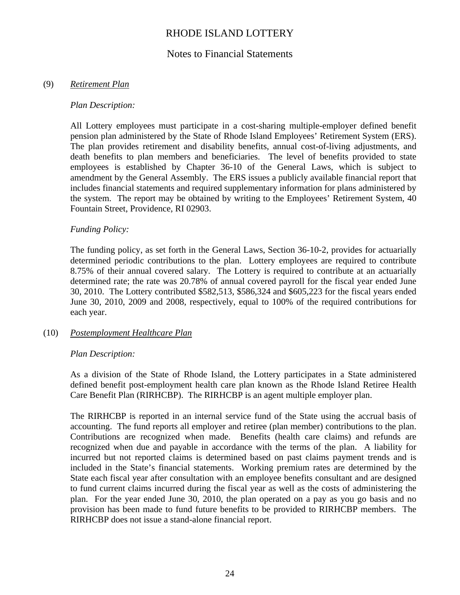### Notes to Financial Statements

### (9) *Retirement Plan*

#### *Plan Description:*

All Lottery employees must participate in a cost-sharing multiple-employer defined benefit pension plan administered by the State of Rhode Island Employees' Retirement System (ERS). The plan provides retirement and disability benefits, annual cost-of-living adjustments, and death benefits to plan members and beneficiaries. The level of benefits provided to state employees is established by Chapter 36-10 of the General Laws, which is subject to amendment by the General Assembly. The ERS issues a publicly available financial report that includes financial statements and required supplementary information for plans administered by the system. The report may be obtained by writing to the Employees' Retirement System, 40 Fountain Street, Providence, RI 02903.

### *Funding Policy:*

The funding policy, as set forth in the General Laws, Section 36-10-2, provides for actuarially determined periodic contributions to the plan. Lottery employees are required to contribute 8.75% of their annual covered salary. The Lottery is required to contribute at an actuarially determined rate; the rate was 20.78% of annual covered payroll for the fiscal year ended June 30, 2010. The Lottery contributed \$582,513, \$586,324 and \$605,223 for the fiscal years ended June 30, 2010, 2009 and 2008, respectively, equal to 100% of the required contributions for each year.

### (10) *Postemployment Healthcare Plan*

### *Plan Description:*

As a division of the State of Rhode Island, the Lottery participates in a State administered defined benefit post-employment health care plan known as the Rhode Island Retiree Health Care Benefit Plan (RIRHCBP). The RIRHCBP is an agent multiple employer plan.

The RIRHCBP is reported in an internal service fund of the State using the accrual basis of accounting. The fund reports all employer and retiree (plan member) contributions to the plan. Contributions are recognized when made. Benefits (health care claims) and refunds are recognized when due and payable in accordance with the terms of the plan. A liability for incurred but not reported claims is determined based on past claims payment trends and is included in the State's financial statements. Working premium rates are determined by the State each fiscal year after consultation with an employee benefits consultant and are designed to fund current claims incurred during the fiscal year as well as the costs of administering the plan. For the year ended June 30, 2010, the plan operated on a pay as you go basis and no provision has been made to fund future benefits to be provided to RIRHCBP members. The RIRHCBP does not issue a stand-alone financial report.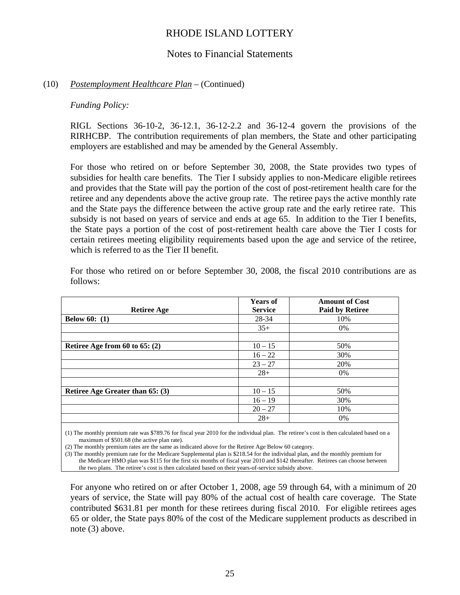### Notes to Financial Statements

#### (10) *Postemployment Healthcare Plan* – (Continued)

#### *Funding Policy:*

RIGL Sections 36-10-2, 36-12.1, 36-12-2.2 and 36-12-4 govern the provisions of the RIRHCBP. The contribution requirements of plan members, the State and other participating employers are established and may be amended by the General Assembly.

For those who retired on or before September 30, 2008, the State provides two types of subsidies for health care benefits. The Tier I subsidy applies to non-Medicare eligible retirees and provides that the State will pay the portion of the cost of post-retirement health care for the retiree and any dependents above the active group rate. The retiree pays the active monthly rate and the State pays the difference between the active group rate and the early retiree rate. This subsidy is not based on years of service and ends at age 65. In addition to the Tier I benefits, the State pays a portion of the cost of post-retirement health care above the Tier I costs for certain retirees meeting eligibility requirements based upon the age and service of the retiree, which is referred to as the Tier II benefit.

| <b>Retiree Age</b>               | <b>Years of</b><br><b>Service</b> | <b>Amount of Cost</b><br><b>Paid by Retiree</b> |
|----------------------------------|-----------------------------------|-------------------------------------------------|
| <b>Below 60:</b> $(1)$           | 28-34                             | 10%                                             |
|                                  | $35+$                             | $0\%$                                           |
|                                  |                                   |                                                 |
| Retiree Age from 60 to 65: $(2)$ | $10 - 15$                         | 50%                                             |
|                                  | $16 - 22$                         | 30%                                             |
|                                  | $23 - 27$                         | 20%                                             |
|                                  | $28+$                             | $0\%$                                           |
|                                  |                                   |                                                 |
| Retiree Age Greater than 65: (3) | $10 - 15$                         | 50%                                             |
|                                  | $16 - 19$                         | 30%                                             |
|                                  | $20 - 27$                         | 10%                                             |
|                                  | $28+$                             | $0\%$                                           |

For those who retired on or before September 30, 2008, the fiscal 2010 contributions are as follows:

(1) The monthly premium rate was \$789.76 for fiscal year 2010 for the individual plan. The retiree's cost is then calculated based on a maximum of \$501.68 (the active plan rate).

(2) The monthly premium rates are the same as indicated above for the Retiree Age Below 60 category.

(3) The monthly premium rate for the Medicare Supplemental plan is \$218.54 for the individual plan, and the monthly premium for the Medicare HMO plan was \$115 for the first six months of fiscal year 2010 and \$142 thereafter. Retirees can choose between the two plans. The retiree's cost is then calculated based on their years-of-service subsidy above.

For anyone who retired on or after October 1, 2008, age 59 through 64, with a minimum of 20 years of service, the State will pay 80% of the actual cost of health care coverage. The State contributed \$631.81 per month for these retirees during fiscal 2010. For eligible retirees ages 65 or older, the State pays 80% of the cost of the Medicare supplement products as described in note (3) above.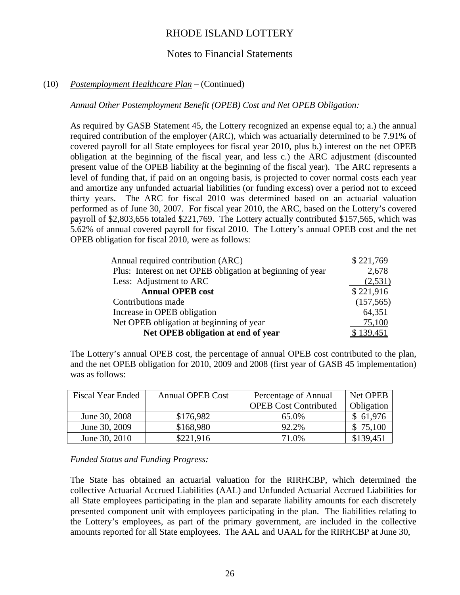### Notes to Financial Statements

### (10) *Postemployment Healthcare Plan* – (Continued)

### *Annual Other Postemployment Benefit (OPEB) Cost and Net OPEB Obligation:*

As required by GASB Statement 45, the Lottery recognized an expense equal to; a.) the annual required contribution of the employer (ARC), which was actuarially determined to be 7.91% of covered payroll for all State employees for fiscal year 2010, plus b.) interest on the net OPEB obligation at the beginning of the fiscal year, and less c.) the ARC adjustment (discounted present value of the OPEB liability at the beginning of the fiscal year). The ARC represents a level of funding that, if paid on an ongoing basis, is projected to cover normal costs each year and amortize any unfunded actuarial liabilities (or funding excess) over a period not to exceed thirty years. The ARC for fiscal 2010 was determined based on an actuarial valuation performed as of June 30, 2007. For fiscal year 2010, the ARC, based on the Lottery's covered payroll of \$2,803,656 totaled \$221,769. The Lottery actually contributed \$157,565, which was 5.62% of annual covered payroll for fiscal 2010. The Lottery's annual OPEB cost and the net OPEB obligation for fiscal 2010, were as follows:

| Annual required contribution (ARC)                         | \$221,769  |
|------------------------------------------------------------|------------|
| Plus: Interest on net OPEB obligation at beginning of year | 2,678      |
| Less: Adjustment to ARC                                    | (2,531)    |
| <b>Annual OPEB cost</b>                                    | \$221,916  |
| Contributions made                                         | (157, 565) |
| Increase in OPEB obligation                                | 64,351     |
| Net OPEB obligation at beginning of year                   | 75,100     |
| Net OPEB obligation at end of year                         | \$139,451  |

The Lottery's annual OPEB cost, the percentage of annual OPEB cost contributed to the plan, and the net OPEB obligation for 2010, 2009 and 2008 (first year of GASB 45 implementation) was as follows:

| <b>Fiscal Year Ended</b> | <b>Annual OPEB Cost</b> | Percentage of Annual<br><b>OPEB Cost Contributed</b> | Net OPEB<br>Obligation |  |
|--------------------------|-------------------------|------------------------------------------------------|------------------------|--|
|                          |                         |                                                      |                        |  |
| June 30, 2008            | \$176,982               | 65.0%                                                | \$61,976               |  |
| June 30, 2009            | \$168,980               | 92.2%                                                | \$75,100               |  |
| June 30, 2010            | \$221,916               | 71.0%                                                | \$139,451              |  |

### *Funded Status and Funding Progress:*

The State has obtained an actuarial valuation for the RIRHCBP, which determined the collective Actuarial Accrued Liabilities (AAL) and Unfunded Actuarial Accrued Liabilities for all State employees participating in the plan and separate liability amounts for each discretely presented component unit with employees participating in the plan. The liabilities relating to the Lottery's employees, as part of the primary government, are included in the collective amounts reported for all State employees. The AAL and UAAL for the RIRHCBP at June 30,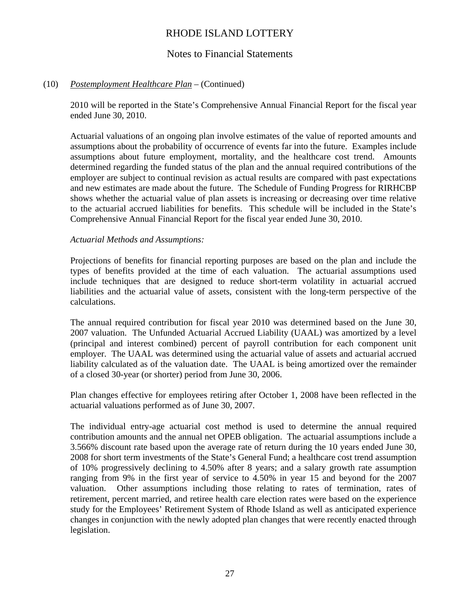### Notes to Financial Statements

### (10) *Postemployment Healthcare Plan* – (Continued)

2010 will be reported in the State's Comprehensive Annual Financial Report for the fiscal year ended June 30, 2010.

Actuarial valuations of an ongoing plan involve estimates of the value of reported amounts and assumptions about the probability of occurrence of events far into the future. Examples include assumptions about future employment, mortality, and the healthcare cost trend. Amounts determined regarding the funded status of the plan and the annual required contributions of the employer are subject to continual revision as actual results are compared with past expectations and new estimates are made about the future. The Schedule of Funding Progress for RIRHCBP shows whether the actuarial value of plan assets is increasing or decreasing over time relative to the actuarial accrued liabilities for benefits. This schedule will be included in the State's Comprehensive Annual Financial Report for the fiscal year ended June 30, 2010.

#### *Actuarial Methods and Assumptions:*

Projections of benefits for financial reporting purposes are based on the plan and include the types of benefits provided at the time of each valuation. The actuarial assumptions used include techniques that are designed to reduce short-term volatility in actuarial accrued liabilities and the actuarial value of assets, consistent with the long-term perspective of the calculations.

The annual required contribution for fiscal year 2010 was determined based on the June 30, 2007 valuation. The Unfunded Actuarial Accrued Liability (UAAL) was amortized by a level (principal and interest combined) percent of payroll contribution for each component unit employer. The UAAL was determined using the actuarial value of assets and actuarial accrued liability calculated as of the valuation date. The UAAL is being amortized over the remainder of a closed 30-year (or shorter) period from June 30, 2006.

Plan changes effective for employees retiring after October 1, 2008 have been reflected in the actuarial valuations performed as of June 30, 2007.

The individual entry-age actuarial cost method is used to determine the annual required contribution amounts and the annual net OPEB obligation. The actuarial assumptions include a 3.566% discount rate based upon the average rate of return during the 10 years ended June 30, 2008 for short term investments of the State's General Fund; a healthcare cost trend assumption of 10% progressively declining to 4.50% after 8 years; and a salary growth rate assumption ranging from 9% in the first year of service to 4.50% in year 15 and beyond for the 2007 valuation. Other assumptions including those relating to rates of termination, rates of retirement, percent married, and retiree health care election rates were based on the experience study for the Employees' Retirement System of Rhode Island as well as anticipated experience changes in conjunction with the newly adopted plan changes that were recently enacted through legislation.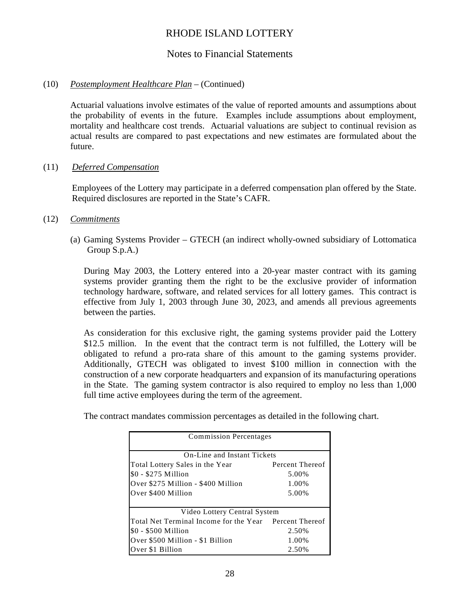### Notes to Financial Statements

### (10) *Postemployment Healthcare Plan* – (Continued)

Actuarial valuations involve estimates of the value of reported amounts and assumptions about the probability of events in the future. Examples include assumptions about employment, mortality and healthcare cost trends. Actuarial valuations are subject to continual revision as actual results are compared to past expectations and new estimates are formulated about the future.

### (11) *Deferred Compensation*

Employees of the Lottery may participate in a deferred compensation plan offered by the State. Required disclosures are reported in the State's CAFR.

### (12) *Commitments*

 (a) Gaming Systems Provider – GTECH (an indirect wholly-owned subsidiary of Lottomatica Group S.p.A.)

During May 2003, the Lottery entered into a 20-year master contract with its gaming systems provider granting them the right to be the exclusive provider of information technology hardware, software, and related services for all lottery games. This contract is effective from July 1, 2003 through June 30, 2023, and amends all previous agreements between the parties.

As consideration for this exclusive right, the gaming systems provider paid the Lottery \$12.5 million. In the event that the contract term is not fulfilled, the Lottery will be obligated to refund a pro-rata share of this amount to the gaming systems provider. Additionally, GTECH was obligated to invest \$100 million in connection with the construction of a new corporate headquarters and expansion of its manufacturing operations in the State. The gaming system contractor is also required to employ no less than 1,000 full time active employees during the term of the agreement.

The contract mandates commission percentages as detailed in the following chart.

| <b>Commission Percentages</b>                          |                 |  |  |  |  |  |
|--------------------------------------------------------|-----------------|--|--|--|--|--|
| On-Line and Instant Tickets                            |                 |  |  |  |  |  |
| Total Lottery Sales in the Year                        | Percent Thereof |  |  |  |  |  |
| \$0 - \$275 Million                                    | 5.00%           |  |  |  |  |  |
| Over \$275 Million - \$400 Million                     | 1.00%           |  |  |  |  |  |
| Over \$400 Million                                     | 5.00%           |  |  |  |  |  |
| Video Lottery Central System                           |                 |  |  |  |  |  |
| Total Net Terminal Income for the Year Percent Thereof |                 |  |  |  |  |  |
| \$0 - \$500 Million                                    | 2.50%           |  |  |  |  |  |
| Over \$500 Million - \$1 Billion                       | 1.00%           |  |  |  |  |  |
| Over \$1 Billion                                       | 2.50%           |  |  |  |  |  |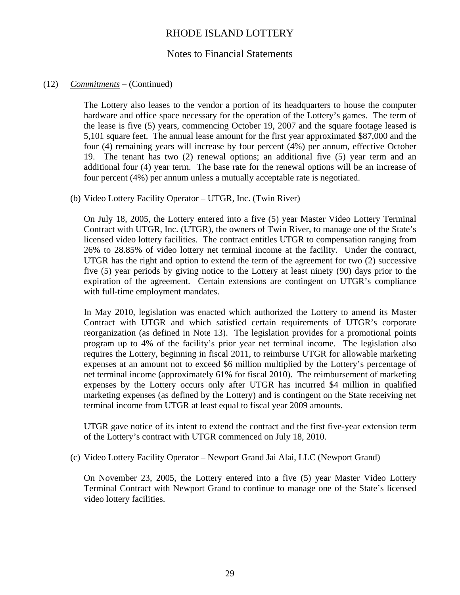### Notes to Financial Statements

### (12) *Commitments* – (Continued)

The Lottery also leases to the vendor a portion of its headquarters to house the computer hardware and office space necessary for the operation of the Lottery's games. The term of the lease is five (5) years, commencing October 19, 2007 and the square footage leased is 5,101 square feet. The annual lease amount for the first year approximated \$87,000 and the four (4) remaining years will increase by four percent (4%) per annum, effective October 19. The tenant has two (2) renewal options; an additional five (5) year term and an additional four (4) year term. The base rate for the renewal options will be an increase of four percent (4%) per annum unless a mutually acceptable rate is negotiated.

(b) Video Lottery Facility Operator – UTGR, Inc. (Twin River)

On July 18, 2005, the Lottery entered into a five (5) year Master Video Lottery Terminal Contract with UTGR, Inc. (UTGR), the owners of Twin River, to manage one of the State's licensed video lottery facilities. The contract entitles UTGR to compensation ranging from 26% to 28.85% of video lottery net terminal income at the facility. Under the contract, UTGR has the right and option to extend the term of the agreement for two (2) successive five (5) year periods by giving notice to the Lottery at least ninety (90) days prior to the expiration of the agreement. Certain extensions are contingent on UTGR's compliance with full-time employment mandates.

In May 2010, legislation was enacted which authorized the Lottery to amend its Master Contract with UTGR and which satisfied certain requirements of UTGR's corporate reorganization (as defined in Note 13). The legislation provides for a promotional points program up to 4% of the facility's prior year net terminal income. The legislation also requires the Lottery, beginning in fiscal 2011, to reimburse UTGR for allowable marketing expenses at an amount not to exceed \$6 million multiplied by the Lottery's percentage of net terminal income (approximately 61% for fiscal 2010). The reimbursement of marketing expenses by the Lottery occurs only after UTGR has incurred \$4 million in qualified marketing expenses (as defined by the Lottery) and is contingent on the State receiving net terminal income from UTGR at least equal to fiscal year 2009 amounts.

UTGR gave notice of its intent to extend the contract and the first five-year extension term of the Lottery's contract with UTGR commenced on July 18, 2010.

(c) Video Lottery Facility Operator – Newport Grand Jai Alai, LLC (Newport Grand)

On November 23, 2005, the Lottery entered into a five (5) year Master Video Lottery Terminal Contract with Newport Grand to continue to manage one of the State's licensed video lottery facilities.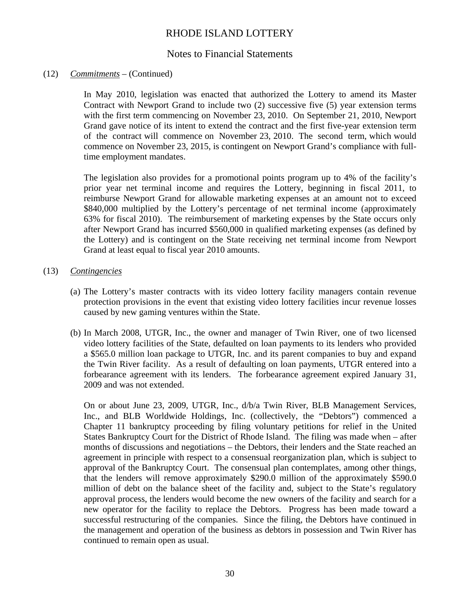### Notes to Financial Statements

### (12) *Commitments* – (Continued)

In May 2010, legislation was enacted that authorized the Lottery to amend its Master Contract with Newport Grand to include two (2) successive five (5) year extension terms with the first term commencing on November 23, 2010. On September 21, 2010, Newport Grand gave notice of its intent to extend the contract and the first five-year extension term of the contract will commence on November 23, 2010. The second term, which would commence on November 23, 2015, is contingent on Newport Grand's compliance with fulltime employment mandates.

The legislation also provides for a promotional points program up to 4% of the facility's prior year net terminal income and requires the Lottery, beginning in fiscal 2011, to reimburse Newport Grand for allowable marketing expenses at an amount not to exceed \$840,000 multiplied by the Lottery's percentage of net terminal income (approximately 63% for fiscal 2010). The reimbursement of marketing expenses by the State occurs only after Newport Grand has incurred \$560,000 in qualified marketing expenses (as defined by the Lottery) and is contingent on the State receiving net terminal income from Newport Grand at least equal to fiscal year 2010 amounts.

### (13) *Contingencies*

- (a) The Lottery's master contracts with its video lottery facility managers contain revenue protection provisions in the event that existing video lottery facilities incur revenue losses caused by new gaming ventures within the State.
- (b) In March 2008, UTGR, Inc., the owner and manager of Twin River, one of two licensed video lottery facilities of the State, defaulted on loan payments to its lenders who provided a \$565.0 million loan package to UTGR, Inc. and its parent companies to buy and expand the Twin River facility. As a result of defaulting on loan payments, UTGR entered into a forbearance agreement with its lenders. The forbearance agreement expired January 31, 2009 and was not extended.

On or about June 23, 2009, UTGR, Inc., d/b/a Twin River, BLB Management Services, Inc., and BLB Worldwide Holdings, Inc. (collectively, the "Debtors") commenced a Chapter 11 bankruptcy proceeding by filing voluntary petitions for relief in the United States Bankruptcy Court for the District of Rhode Island. The filing was made when – after months of discussions and negotiations – the Debtors, their lenders and the State reached an agreement in principle with respect to a consensual reorganization plan, which is subject to approval of the Bankruptcy Court. The consensual plan contemplates, among other things, that the lenders will remove approximately \$290.0 million of the approximately \$590.0 million of debt on the balance sheet of the facility and, subject to the State's regulatory approval process, the lenders would become the new owners of the facility and search for a new operator for the facility to replace the Debtors. Progress has been made toward a successful restructuring of the companies. Since the filing, the Debtors have continued in the management and operation of the business as debtors in possession and Twin River has continued to remain open as usual.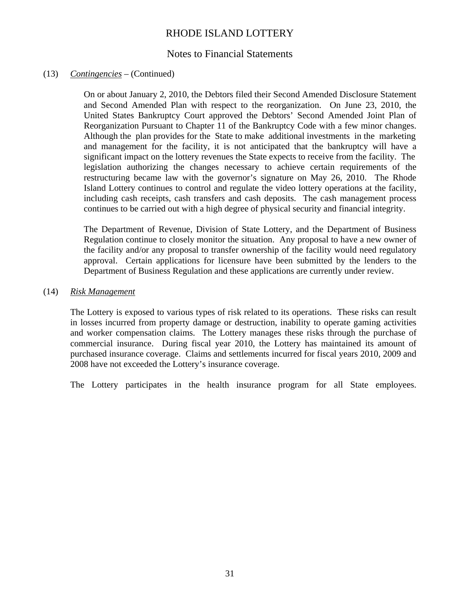### Notes to Financial Statements

### (13) *Contingencies* – (Continued)

On or about January 2, 2010, the Debtors filed their Second Amended Disclosure Statement and Second Amended Plan with respect to the reorganization. On June 23, 2010, the United States Bankruptcy Court approved the Debtors' Second Amended Joint Plan of Reorganization Pursuant to Chapter 11 of the Bankruptcy Code with a few minor changes. Although the plan provides for the State to make additional investments in the marketing and management for the facility, it is not anticipated that the bankruptcy will have a significant impact on the lottery revenues the State expects to receive from the facility. The legislation authorizing the changes necessary to achieve certain requirements of the restructuring became law with the governor's signature on May 26, 2010. The Rhode Island Lottery continues to control and regulate the video lottery operations at the facility, including cash receipts, cash transfers and cash deposits. The cash management process continues to be carried out with a high degree of physical security and financial integrity.

The Department of Revenue, Division of State Lottery, and the Department of Business Regulation continue to closely monitor the situation. Any proposal to have a new owner of the facility and/or any proposal to transfer ownership of the facility would need regulatory approval. Certain applications for licensure have been submitted by the lenders to the Department of Business Regulation and these applications are currently under review.

#### (14) *Risk Management*

The Lottery is exposed to various types of risk related to its operations. These risks can result in losses incurred from property damage or destruction, inability to operate gaming activities and worker compensation claims. The Lottery manages these risks through the purchase of commercial insurance. During fiscal year 2010, the Lottery has maintained its amount of purchased insurance coverage. Claims and settlements incurred for fiscal years 2010, 2009 and 2008 have not exceeded the Lottery's insurance coverage.

The Lottery participates in the health insurance program for all State employees.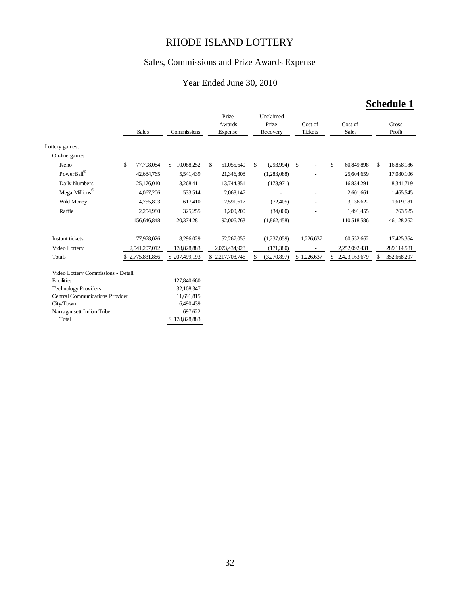## Sales, Commissions and Prize Awards Expense

### Year Ended June 30, 2010

# **Schedule 1**

|                                        |                  |                  | Prize            | Unclaimed      |              |                    |                   |
|----------------------------------------|------------------|------------------|------------------|----------------|--------------|--------------------|-------------------|
|                                        |                  |                  | Awards           | Prize          | Cost of      | Cost of            | Gross             |
|                                        | Sales            | Commissions      | Expense          | Recovery       | Tickets      | Sales              | Profit            |
|                                        |                  |                  |                  |                |              |                    |                   |
| Lottery games:                         |                  |                  |                  |                |              |                    |                   |
| On-line games                          |                  |                  |                  |                |              |                    |                   |
| Keno                                   | \$<br>77,708,084 | 10,088,252<br>\$ | \$<br>51,055,640 | (293,994)<br>S | $\mathbb{S}$ | \$<br>60,849,898   | 16,858,186<br>\$  |
| PowerBall®                             | 42,684,765       | 5,541,439        | 21,346,308       | (1,283,088)    |              | 25,604,659         | 17,080,106        |
| Daily Numbers                          | 25,176,010       | 3,268,411        | 13,744,851       | (178.971)      |              | 16,834,291         | 8,341,719         |
| ${\rm Mega~Millions}^{\circledR}$      | 4,067,206        | 533,514          | 2,068,147        |                |              | 2,601,661          | 1,465,545         |
| Wild Money                             | 4,755,803        | 617,410          | 2,591,617        | (72, 405)      |              | 3,136,622          | 1,619,181         |
| Raffle                                 | 2,254,980        | 325,255          | 1,200,200        | (34,000)       |              | 1,491,455          | 763,525           |
|                                        | 156,646,848      | 20,374,281       | 92,006,763       | (1,862,458)    |              | 110,518,586        | 46,128,262        |
|                                        |                  |                  |                  |                |              |                    |                   |
| Instant tickets                        | 77,978,026       | 8,296,029        | 52,267,055       | (1,237,059)    | 1,226,637    | 60,552,662         | 17,425,364        |
| Video Lottery                          | 2,541,207,012    | 178,828,883      | 2,073,434,928    | (171,380)      |              | 2,252,092,431      | 289,114,581       |
| Totals                                 | \$2,775,831,886  | \$207,499,193    | \$2,217,708,746  | (3,270,897)    | \$1,226,637  | 2,423,163,679<br>S | 352,668,207<br>\$ |
|                                        |                  |                  |                  |                |              |                    |                   |
| Video Lottery Commissions - Detail     |                  |                  |                  |                |              |                    |                   |
| Facilities                             |                  | 127,840,660      |                  |                |              |                    |                   |
| <b>Technology Providers</b>            |                  | 32,108,347       |                  |                |              |                    |                   |
| <b>Central Communications Provider</b> |                  | 11,691,815       |                  |                |              |                    |                   |
| City/Town                              |                  | 6,490,439        |                  |                |              |                    |                   |
| Narragansett Indian Tribe              |                  | 697,622          |                  |                |              |                    |                   |
| Total                                  |                  | \$178,828,883    |                  |                |              |                    |                   |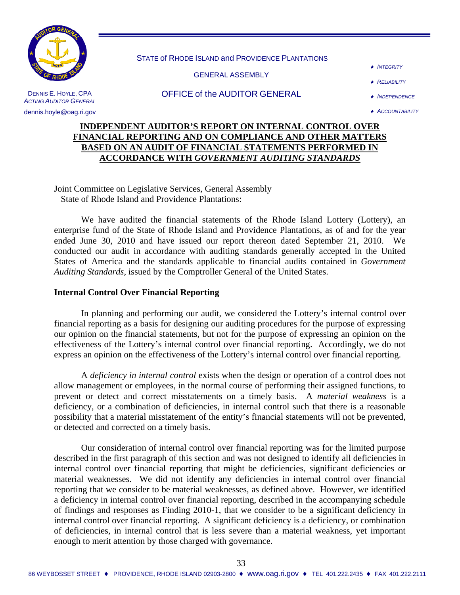

STATE of RHODE ISLAND and PROVIDENCE PLANTATIONS

GENERAL ASSEMBLY

♦ *INTEGRITY*

♦ *RELIABILITY*

DENNIS E. HOYLE, CPA **ACTING AUDITOR GENERAL** 

dennis.hoyle@oag.ri.gov

#### OFFICE of the AUDITOR GENERAL

### **INDEPENDENT AUDITOR'S REPORT ON INTERNAL CONTROL OVER FINANCIAL REPORTING AND ON COMPLIANCE AND OTHER MATTERS BASED ON AN AUDIT OF FINANCIAL STATEMENTS PERFORMED IN ACCORDANCE WITH** *GOVERNMENT AUDITING STANDARDS*

Joint Committee on Legislative Services, General Assembly State of Rhode Island and Providence Plantations:

 We have audited the financial statements of the Rhode Island Lottery (Lottery), an enterprise fund of the State of Rhode Island and Providence Plantations, as of and for the year ended June 30, 2010 and have issued our report thereon dated September 21, 2010. We conducted our audit in accordance with auditing standards generally accepted in the United States of America and the standards applicable to financial audits contained in *Government Auditing Standards*, issued by the Comptroller General of the United States.

### **Internal Control Over Financial Reporting**

 In planning and performing our audit, we considered the Lottery's internal control over financial reporting as a basis for designing our auditing procedures for the purpose of expressing our opinion on the financial statements, but not for the purpose of expressing an opinion on the effectiveness of the Lottery's internal control over financial reporting. Accordingly, we do not express an opinion on the effectiveness of the Lottery's internal control over financial reporting.

 A *deficiency in internal control* exists when the design or operation of a control does not allow management or employees, in the normal course of performing their assigned functions, to prevent or detect and correct misstatements on a timely basis. A *material weakness* is a deficiency, or a combination of deficiencies, in internal control such that there is a reasonable possibility that a material misstatement of the entity's financial statements will not be prevented, or detected and corrected on a timely basis.

 Our consideration of internal control over financial reporting was for the limited purpose described in the first paragraph of this section and was not designed to identify all deficiencies in internal control over financial reporting that might be deficiencies, significant deficiencies or material weaknesses. We did not identify any deficiencies in internal control over financial reporting that we consider to be material weaknesses, as defined above. However, we identified a deficiency in internal control over financial reporting, described in the accompanying schedule of findings and responses as Finding 2010-1, that we consider to be a significant deficiency in internal control over financial reporting. A significant deficiency is a deficiency, or combination of deficiencies, in internal control that is less severe than a material weakness, yet important enough to merit attention by those charged with governance.

<sup>♦</sup> *INDEPENDENCE* ♦ *ACCOUNTABILITY*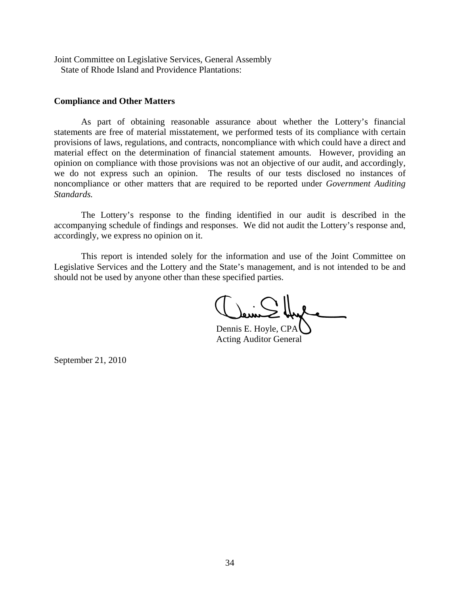Joint Committee on Legislative Services, General Assembly State of Rhode Island and Providence Plantations:

#### **Compliance and Other Matters**

 As part of obtaining reasonable assurance about whether the Lottery's financial statements are free of material misstatement, we performed tests of its compliance with certain provisions of laws, regulations, and contracts, noncompliance with which could have a direct and material effect on the determination of financial statement amounts. However, providing an opinion on compliance with those provisions was not an objective of our audit, and accordingly, we do not express such an opinion. The results of our tests disclosed no instances of noncompliance or other matters that are required to be reported under *Government Auditing Standards.*

 The Lottery's response to the finding identified in our audit is described in the accompanying schedule of findings and responses. We did not audit the Lottery's response and, accordingly, we express no opinion on it.

 This report is intended solely for the information and use of the Joint Committee on Legislative Services and the Lottery and the State's management, and is not intended to be and should not be used by anyone other than these specified parties.

 Dennis E. Hoyle, CPA Acting Auditor General

September 21, 2010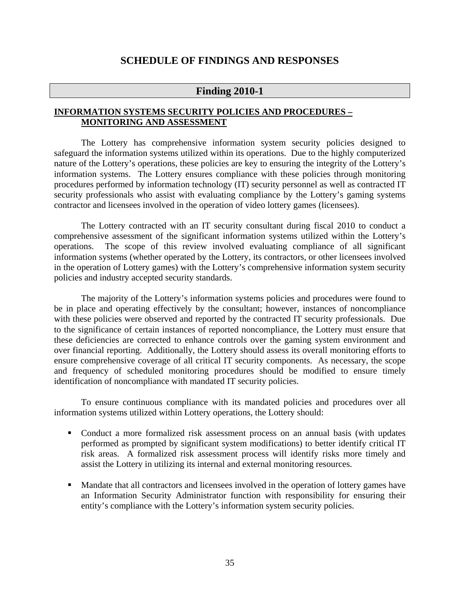### **SCHEDULE OF FINDINGS AND RESPONSES**

### **Finding 2010-1**

### **INFORMATION SYSTEMS SECURITY POLICIES AND PROCEDURES – MONITORING AND ASSESSMENT**

The Lottery has comprehensive information system security policies designed to safeguard the information systems utilized within its operations. Due to the highly computerized nature of the Lottery's operations, these policies are key to ensuring the integrity of the Lottery's information systems. The Lottery ensures compliance with these policies through monitoring procedures performed by information technology (IT) security personnel as well as contracted IT security professionals who assist with evaluating compliance by the Lottery's gaming systems contractor and licensees involved in the operation of video lottery games (licensees).

 The Lottery contracted with an IT security consultant during fiscal 2010 to conduct a comprehensive assessment of the significant information systems utilized within the Lottery's operations. The scope of this review involved evaluating compliance of all significant information systems (whether operated by the Lottery, its contractors, or other licensees involved in the operation of Lottery games) with the Lottery's comprehensive information system security policies and industry accepted security standards.

The majority of the Lottery's information systems policies and procedures were found to be in place and operating effectively by the consultant; however, instances of noncompliance with these policies were observed and reported by the contracted IT security professionals. Due to the significance of certain instances of reported noncompliance, the Lottery must ensure that these deficiencies are corrected to enhance controls over the gaming system environment and over financial reporting. Additionally, the Lottery should assess its overall monitoring efforts to ensure comprehensive coverage of all critical IT security components. As necessary, the scope and frequency of scheduled monitoring procedures should be modified to ensure timely identification of noncompliance with mandated IT security policies.

To ensure continuous compliance with its mandated policies and procedures over all information systems utilized within Lottery operations, the Lottery should:

- Conduct a more formalized risk assessment process on an annual basis (with updates performed as prompted by significant system modifications) to better identify critical IT risk areas. A formalized risk assessment process will identify risks more timely and assist the Lottery in utilizing its internal and external monitoring resources.
- Mandate that all contractors and licensees involved in the operation of lottery games have an Information Security Administrator function with responsibility for ensuring their entity's compliance with the Lottery's information system security policies.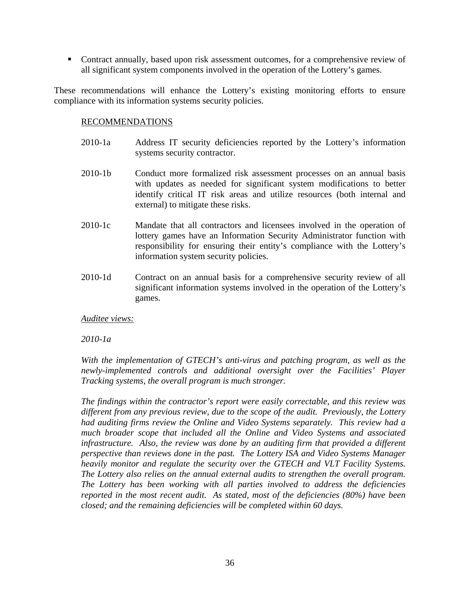Contract annually, based upon risk assessment outcomes, for a comprehensive review of all significant system components involved in the operation of the Lottery's games.

These recommendations will enhance the Lottery's existing monitoring efforts to ensure compliance with its information systems security policies.

#### RECOMMENDATIONS

- 2010-1a Address IT security deficiencies reported by the Lottery's information systems security contractor.
- 2010-1b Conduct more formalized risk assessment processes on an annual basis with updates as needed for significant system modifications to better identify critical IT risk areas and utilize resources (both internal and external) to mitigate these risks.
- 2010-1c Mandate that all contractors and licensees involved in the operation of lottery games have an Information Security Administrator function with responsibility for ensuring their entity's compliance with the Lottery's information system security policies.
- 2010-1d Contract on an annual basis for a comprehensive security review of all significant information systems involved in the operation of the Lottery's games.

*Auditee views:*

*2010-1a* 

*With the implementation of GTECH's anti-virus and patching program, as well as the newly-implemented controls and additional oversight over the Facilities' Player Tracking systems, the overall program is much stronger.* 

*The findings within the contractor's report were easily correctable, and this review was different from any previous review, due to the scope of the audit. Previously, the Lottery had auditing firms review the Online and Video Systems separately. This review had a much broader scope that included all the Online and Video Systems and associated infrastructure. Also, the review was done by an auditing firm that provided a different perspective than reviews done in the past. The Lottery ISA and Video Systems Manager heavily monitor and regulate the security over the GTECH and VLT Facility Systems. The Lottery also relies on the annual external audits to strengthen the overall program. The Lottery has been working with all parties involved to address the deficiencies reported in the most recent audit. As stated, most of the deficiencies (80%) have been closed; and the remaining deficiencies will be completed within 60 days.*